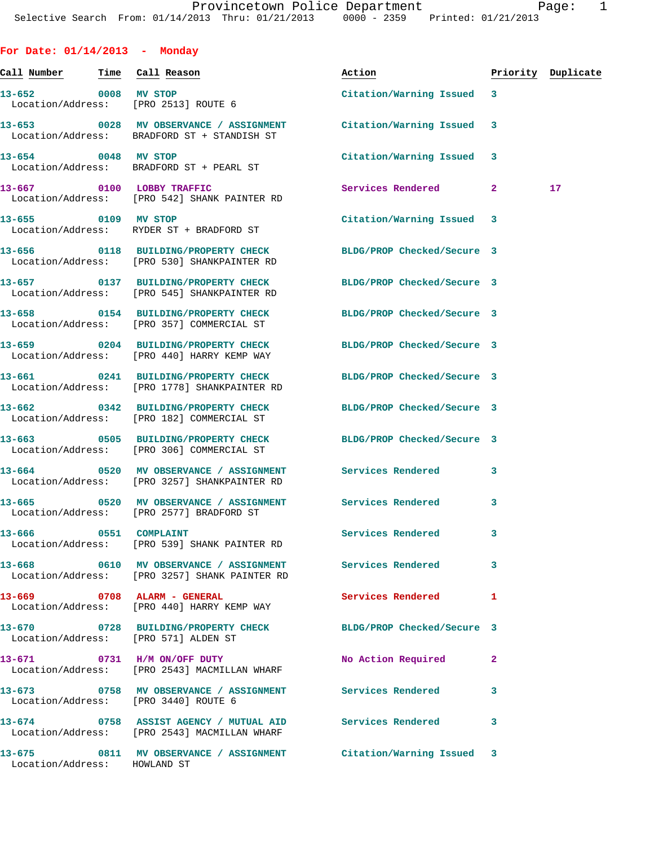|  |  | For Date: $01/14/2013$ |  | Monday |
|--|--|------------------------|--|--------|
|--|--|------------------------|--|--------|

|                              |                                                                                                                 | Action                     |              | Priority Duplicate |
|------------------------------|-----------------------------------------------------------------------------------------------------------------|----------------------------|--------------|--------------------|
|                              | 13-652 0008 MV STOP<br>Location/Address: [PRO 2513] ROUTE 6                                                     | Citation/Warning Issued 3  |              |                    |
|                              | 13-653 0028 MV OBSERVANCE / ASSIGNMENT Citation/Warning Issued 3<br>Location/Address: BRADFORD ST + STANDISH ST |                            |              |                    |
|                              | 13-654 0048 MV STOP<br>Location/Address: BRADFORD ST + PEARL ST                                                 | Citation/Warning Issued 3  |              |                    |
|                              | 13-667 0100 LOBBY TRAFFIC<br>Location/Address: [PRO 542] SHANK PAINTER RD                                       | Services Rendered          | $\mathbf{2}$ | 17                 |
| 13-655 0109 MV STOP          | Location/Address: RYDER ST + BRADFORD ST                                                                        | Citation/Warning Issued 3  |              |                    |
|                              | 13-656 0118 BUILDING/PROPERTY CHECK BLDG/PROP Checked/Secure 3<br>Location/Address: [PRO 530] SHANKPAINTER RD   |                            |              |                    |
|                              | 13-657 0137 BUILDING/PROPERTY CHECK BLDG/PROP Checked/Secure 3<br>Location/Address: [PRO 545] SHANKPAINTER RD   |                            |              |                    |
|                              | 13-658 0154 BUILDING/PROPERTY CHECK BLDG/PROP Checked/Secure 3<br>Location/Address: [PRO 357] COMMERCIAL ST     |                            |              |                    |
|                              | 13-659 0204 BUILDING/PROPERTY CHECK BLDG/PROP Checked/Secure 3<br>Location/Address: [PRO 440] HARRY KEMP WAY    |                            |              |                    |
|                              | 13-661 0241 BUILDING/PROPERTY CHECK BLDG/PROP Checked/Secure 3<br>Location/Address: [PRO 1778] SHANKPAINTER RD  |                            |              |                    |
|                              | 13-662 0342 BUILDING/PROPERTY CHECK BLDG/PROP Checked/Secure 3<br>Location/Address: [PRO 182] COMMERCIAL ST     |                            |              |                    |
|                              | 13-663 0505 BUILDING/PROPERTY CHECK BLDG/PROP Checked/Secure 3<br>Location/Address: [PRO 306] COMMERCIAL ST     |                            |              |                    |
|                              | 13-664 0520 MV OBSERVANCE / ASSIGNMENT Services Rendered<br>Location/Address: [PRO 3257] SHANKPAINTER RD        |                            | 3            |                    |
|                              | 13-665 0520 MV OBSERVANCE / ASSIGNMENT Services Rendered<br>Location/Address: [PRO 2577] BRADFORD ST            |                            | 3            |                    |
| 13-666 0551 COMPLAINT        | Location/Address: [PRO 539] SHANK PAINTER RD                                                                    | Services Rendered          | 3            |                    |
|                              | 13-668 0610 MV OBSERVANCE / ASSIGNMENT Services Rendered<br>Location/Address: [PRO 3257] SHANK PAINTER RD       |                            | 3            |                    |
|                              | 13-669 0708 ALARM - GENERAL<br>Location/Address: [PRO 440] HARRY KEMP WAY                                       | <b>Services Rendered</b>   | 1            |                    |
|                              | 13-670 0728 BUILDING/PROPERTY CHECK<br>Location/Address: [PRO 571] ALDEN ST                                     | BLDG/PROP Checked/Secure 3 |              |                    |
| 13-671                       | 0731 H/M ON/OFF DUTY<br>Location/Address: [PRO 2543] MACMILLAN WHARF                                            | No Action Required         | 2            |                    |
|                              | 13-673 0758 MV OBSERVANCE / ASSIGNMENT Services Rendered<br>Location/Address: [PRO 3440] ROUTE 6                |                            | 3            |                    |
|                              | 13-674 0758 ASSIST AGENCY / MUTUAL AID Services Rendered<br>Location/Address: [PRO 2543] MACMILLAN WHARF        |                            | 3            |                    |
| Location/Address: HOWLAND ST | 13-675 0811 MV OBSERVANCE / ASSIGNMENT Citation/Warning Issued 3                                                |                            |              |                    |
|                              |                                                                                                                 |                            |              |                    |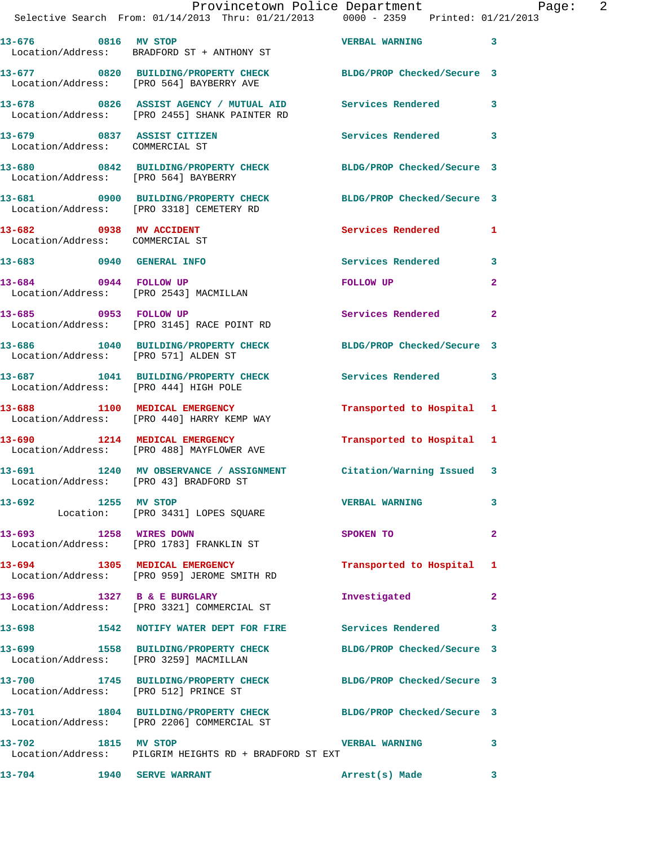|                     | Provincetown Police Department Page: 2<br>Selective Search From: 01/14/2013 Thru: 01/21/2013 0000 - 2359 Printed: 01/21/2013 |                           |                         |
|---------------------|------------------------------------------------------------------------------------------------------------------------------|---------------------------|-------------------------|
|                     | 13-676 0816 MV STOP<br>Location/Address: BRADFORD ST + ANTHONY ST                                                            | VERBAL WARNING 3          |                         |
|                     | 13-677 0820 BUILDING/PROPERTY CHECK BLDG/PROP Checked/Secure 3<br>Location/Address: [PRO 564] BAYBERRY AVE                   |                           |                         |
|                     | 13-678 0826 ASSIST AGENCY / MUTUAL AID Services Rendered 3<br>Location/Address: [PRO 2455] SHANK PAINTER RD                  |                           |                         |
|                     | 13-679 0837 ASSIST CITIZEN<br>Location/Address: COMMERCIAL ST                                                                | Services Rendered 3       |                         |
|                     | 13-680 0842 BUILDING/PROPERTY CHECK BLDG/PROP Checked/Secure 3<br>Location/Address: [PRO 564] BAYBERRY                       |                           |                         |
|                     | 13-681 0900 BUILDING/PROPERTY CHECK BLDG/PROP Checked/Secure 3<br>Location/Address: [PRO 3318] CEMETERY RD                   |                           |                         |
|                     | 13-682 0938 MV ACCIDENT<br>Location/Address: COMMERCIAL ST                                                                   | Services Rendered 1       |                         |
|                     | 13-683 0940 GENERAL INFO                                                                                                     | Services Rendered         | $\mathbf{3}$            |
|                     | 13-684 0944 FOLLOW UP<br>Location/Address: [PRO 2543] MACMILLAN                                                              | FOLLOW UP                 | $\mathbf{2}$            |
|                     | 13-685 0953 FOLLOW UP<br>Location/Address: [PRO 3145] RACE POINT RD                                                          | Services Rendered         | $\mathbf{2}$            |
|                     | 13-686 1040 BUILDING/PROPERTY CHECK BLDG/PROP Checked/Secure 3<br>Location/Address: [PRO 571] ALDEN ST                       |                           |                         |
|                     | 13-687 1041 BUILDING/PROPERTY CHECK Services Rendered<br>Location/Address: [PRO 444] HIGH POLE                               |                           | $\overline{\mathbf{3}}$ |
|                     | 13-688 1100 MEDICAL EMERGENCY<br>Location/Address: [PRO 440] HARRY KEMP WAY                                                  | Transported to Hospital 1 |                         |
|                     | 13-690 1214 MEDICAL EMERGENCY<br>Location/Address: [PRO 488] MAYFLOWER AVE                                                   | Transported to Hospital 1 |                         |
|                     | 13-691 1240 MV OBSERVANCE / ASSIGNMENT Citation/Warning Issued 3<br>Location/Address: [PRO 43] BRADFORD ST                   |                           |                         |
| 13-692 1255 MV STOP | Location: [PRO 3431] LOPES SQUARE                                                                                            | <b>VERBAL WARNING</b>     | 3                       |
|                     | 13-693 1258 WIRES DOWN<br>Location/Address: [PRO 1783] FRANKLIN ST                                                           | SPOKEN TO                 | $\mathbf{2}$            |
|                     | 13-694 1305 MEDICAL EMERGENCY<br>Location/Address: [PRO 959] JEROME SMITH RD                                                 | Transported to Hospital 1 |                         |
|                     | 13-696 1327 B & E BURGLARY<br>Location/Address: [PRO 3321] COMMERCIAL ST                                                     | Investigated              | -2                      |
|                     | 13-698 1542 NOTIFY WATER DEPT FOR FIRE Services Rendered 3                                                                   |                           |                         |
|                     | 13-699 1558 BUILDING/PROPERTY CHECK BLDG/PROP Checked/Secure 3<br>Location/Address: [PRO 3259] MACMILLAN                     |                           |                         |
|                     | 13-700 1745 BUILDING/PROPERTY CHECK BLDG/PROP Checked/Secure 3<br>Location/Address: [PRO 512] PRINCE ST                      |                           |                         |
|                     | 13-701 1804 BUILDING/PROPERTY CHECK BLDG/PROP Checked/Secure 3<br>Location/Address: [PRO 2206] COMMERCIAL ST                 |                           |                         |
| 13-702 1815 MV STOP | Location/Address: PILGRIM HEIGHTS RD + BRADFORD ST EXT                                                                       | <b>VERBAL WARNING</b>     | 3                       |
| 13-704              | <b>1940 SERVE WARRANT</b>                                                                                                    | Arrest(s) Made            | 3                       |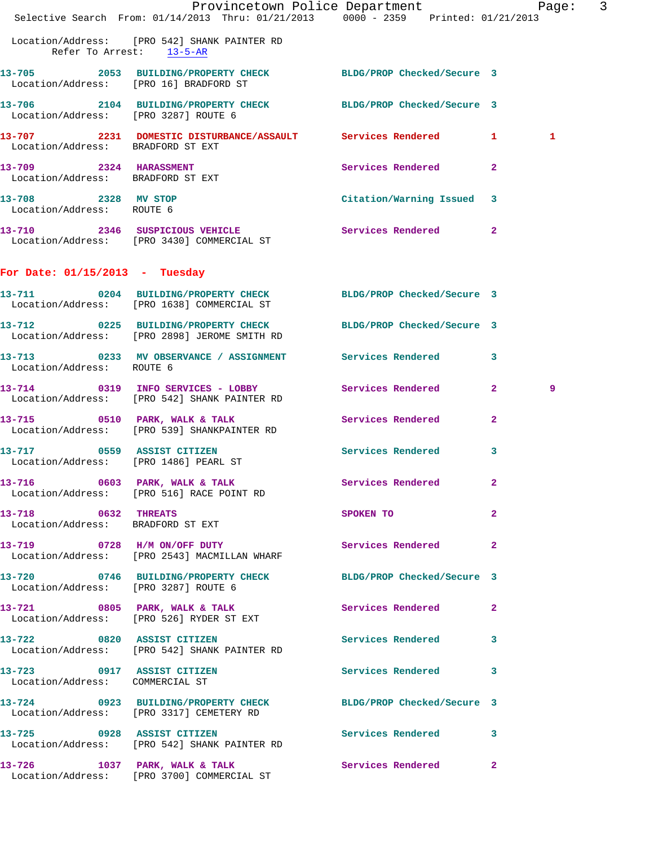|                                                                                                                |                                                                                          |  |                                                                                                                | Provincetown Police Department Page: 3 |                |              |  |
|----------------------------------------------------------------------------------------------------------------|------------------------------------------------------------------------------------------|--|----------------------------------------------------------------------------------------------------------------|----------------------------------------|----------------|--------------|--|
|                                                                                                                | Selective Search From: $01/14/2013$ Thru: $01/21/2013$ 0000 - 2359 Printed: $01/21/2013$ |  |                                                                                                                |                                        |                |              |  |
| Location/Address: [PRO 542] SHANK PAINTER RD                                                                   | Refer To Arrest: 13-5-AR                                                                 |  |                                                                                                                |                                        |                |              |  |
| 13-705 2053 BUILDING/PROPERTY CHECK BLDG/PROP Checked/Secure 3<br>Location/Address: [PRO 16] BRADFORD ST       |                                                                                          |  |                                                                                                                |                                        |                |              |  |
| 13-706 2104 BUILDING/PROPERTY CHECK BLDG/PROP Checked/Secure 3<br>Location/Address: [PRO 3287] ROUTE 6         |                                                                                          |  |                                                                                                                |                                        |                |              |  |
| 13-707 2231 DOMESTIC DISTURBANCE/ASSAULT Services Rendered 1<br>Location/Address: BRADFORD ST EXT              |                                                                                          |  |                                                                                                                |                                        |                | $\mathbf{1}$ |  |
| 13-709 2324 HARASSMENT<br>Location/Address: BRADFORD ST EXT                                                    |                                                                                          |  |                                                                                                                | Services Rendered                      | $\overline{2}$ |              |  |
| 13-708 2328 MV STOP<br>Location/Address: ROUTE 6                                                               |                                                                                          |  |                                                                                                                | Citation/Warning Issued 3              |                |              |  |
| 13-710 2346 SUSPICIOUS VEHICLE Services Rendered 2<br>Location/Address: [PRO 3430] COMMERCIAL ST               |                                                                                          |  |                                                                                                                |                                        |                |              |  |
| For Date: $01/15/2013$ - Tuesday                                                                               |                                                                                          |  |                                                                                                                |                                        |                |              |  |
| 13-711 0204 BUILDING/PROPERTY CHECK BLDG/PROP Checked/Secure 3<br>Location/Address: [PRO 1638] COMMERCIAL ST   |                                                                                          |  |                                                                                                                |                                        |                |              |  |
| 13-712 0225 BUILDING/PROPERTY CHECK BLDG/PROP Checked/Secure 3<br>Location/Address: [PRO 2898] JEROME SMITH RD |                                                                                          |  |                                                                                                                |                                        |                |              |  |
| 13-713 0233 MV OBSERVANCE / ASSIGNMENT Services Rendered 3<br>Location/Address: ROUTE 6                        |                                                                                          |  |                                                                                                                |                                        |                |              |  |
| 13-714 0319 INFO SERVICES - LOBBY<br>Location/Address: [PRO 542] SHANK PAINTER RD                              |                                                                                          |  |                                                                                                                | <b>Services Rendered</b>               | $\mathbf{2}$   | 9            |  |
| 13-715 0510 PARK, WALK & TALK 2008 Services Rendered<br>Location/Address: [PRO 539] SHANKPAINTER RD            |                                                                                          |  |                                                                                                                |                                        | $\mathbf{2}$   |              |  |
| 13-717 0559 ASSIST CITIZEN<br>Location/Address: [PRO 1486] PEARL ST                                            |                                                                                          |  |                                                                                                                | <b>Services Rendered</b>               | $\mathbf{3}$   |              |  |
| 13-716 0603 PARK, WALK & TALK<br>Location/Address: [PRO 516] RACE POINT RD                                     |                                                                                          |  |                                                                                                                | Services Rendered 2                    |                |              |  |
| 13-718 0632 THREATS<br>Location/Address: BRADFORD ST EXT                                                       |                                                                                          |  | SPOKEN TO THE SPOKEN OF THE SPOKEN OF THE SPOKEN OF THE SPOKEN OF THE SPOKEN OF THE SPOKEN OF THE SPOKEN OF TH |                                        | $\mathbf{2}$   |              |  |
| 13-719 0728 H/M ON/OFF DUTY<br>Location/Address: [PRO 2543] MACMILLAN WHARF                                    |                                                                                          |  |                                                                                                                | Services Rendered                      | $\mathbf{2}$   |              |  |
| 13-720 0746 BUILDING/PROPERTY CHECK BLDG/PROP Checked/Secure 3<br>Location/Address: [PRO 3287] ROUTE 6         |                                                                                          |  |                                                                                                                |                                        |                |              |  |
| 13-721 0805 PARK, WALK & TALK<br>Location/Address: [PRO 526] RYDER ST EXT                                      |                                                                                          |  |                                                                                                                | Services Rendered 2                    |                |              |  |
| 13-722 0820 ASSIST CITIZEN<br>Location/Address: [PRO 542] SHANK PAINTER RD                                     |                                                                                          |  |                                                                                                                | Services Rendered                      | 3              |              |  |
| 13-723 0917 ASSIST CITIZEN<br>Location/Address: COMMERCIAL ST                                                  |                                                                                          |  |                                                                                                                | Services Rendered 3                    |                |              |  |
| 13-724 0923 BUILDING/PROPERTY CHECK BLDG/PROP Checked/Secure 3<br>Location/Address: [PRO 3317] CEMETERY RD     |                                                                                          |  |                                                                                                                |                                        |                |              |  |
| 13-725 0928 ASSIST CITIZEN<br>Location/Address: [PRO 542] SHANK PAINTER RD                                     |                                                                                          |  |                                                                                                                | Services Rendered 3                    |                |              |  |
| 13-726 1037 PARK, WALK & TALK 6 Services Rendered 2<br>Location/Address: [PRO 3700] COMMERCIAL ST              |                                                                                          |  |                                                                                                                |                                        |                |              |  |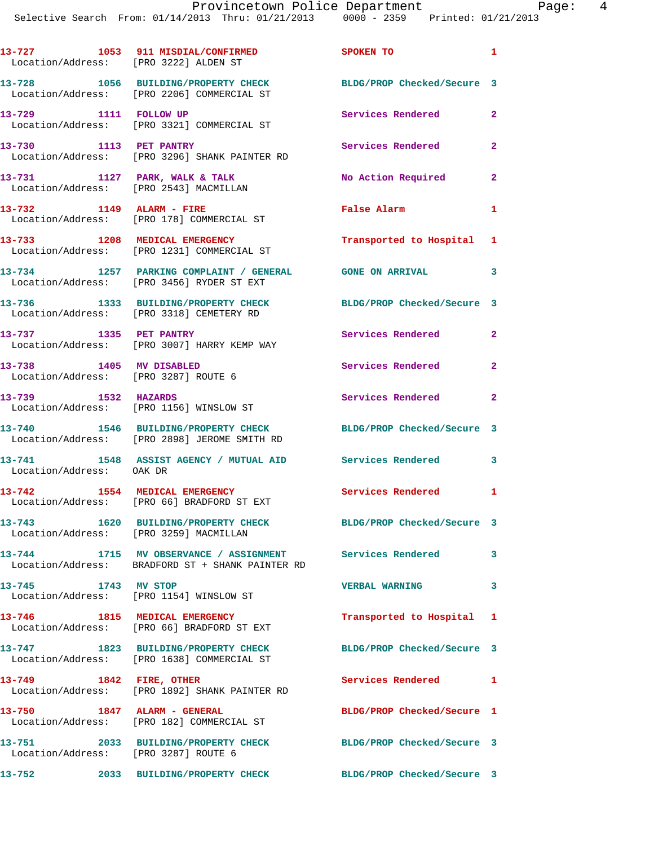| Location/Address: [PRO 3222] ALDEN ST                           | 13-727 1053 911 MISDIAL/CONFIRMED                                                                              | <b>SPOKEN TO</b>           | $\mathbf{1}$               |
|-----------------------------------------------------------------|----------------------------------------------------------------------------------------------------------------|----------------------------|----------------------------|
|                                                                 | 13-728 1056 BUILDING/PROPERTY CHECK<br>Location/Address: [PRO 2206] COMMERCIAL ST                              | BLDG/PROP Checked/Secure 3 |                            |
| 13-729 1111 FOLLOW UP                                           | Location/Address: [PRO 3321] COMMERCIAL ST                                                                     | Services Rendered 2        |                            |
| 13-730 1113 PET PANTRY                                          | Location/Address: [PRO 3296] SHANK PAINTER RD                                                                  | Services Rendered          | $\mathbf{2}$               |
|                                                                 | 13-731 1127 PARK, WALK & TALK<br>Location/Address: [PRO 2543] MACMILLAN                                        | No Action Required 2       |                            |
|                                                                 | 13-732 1149 ALARM - FIRE<br>Location/Address: [PRO 178] COMMERCIAL ST                                          | <b>False Alarm</b>         | 1                          |
|                                                                 | 13-733 1208 MEDICAL EMERGENCY<br>Location/Address: [PRO 1231] COMMERCIAL ST                                    | Transported to Hospital 1  |                            |
|                                                                 | 13-734 1257 PARKING COMPLAINT / GENERAL GONE ON ARRIVAL<br>Location/Address: [PRO 3456] RYDER ST EXT           |                            | $\overline{\phantom{a}}$ 3 |
|                                                                 | 13-736 1333 BUILDING/PROPERTY CHECK<br>Location/Address: [PRO 3318] CEMETERY RD                                | BLDG/PROP Checked/Secure 3 |                            |
| 13-737 1335 PET PANTRY                                          | Location/Address: [PRO 3007] HARRY KEMP WAY                                                                    | Services Rendered          | $\mathbf{2}$               |
| 13-738 1405 MV DISABLED<br>Location/Address: [PRO 3287] ROUTE 6 |                                                                                                                | Services Rendered          | $\mathbf{2}$               |
| 13-739 1532 HAZARDS                                             | Location/Address: [PRO 1156] WINSLOW ST                                                                        | Services Rendered 2        |                            |
|                                                                 | 13-740 1546 BUILDING/PROPERTY CHECK<br>Location/Address: [PRO 2898] JEROME SMITH RD                            | BLDG/PROP Checked/Secure 3 |                            |
| Location/Address: OAK DR                                        | 13-741 1548 ASSIST AGENCY / MUTUAL AID Services Rendered 3                                                     |                            |                            |
|                                                                 | 13-742 1554 MEDICAL EMERGENCY<br>Location/Address: [PRO 66] BRADFORD ST EXT                                    | <b>Services Rendered</b>   | 1                          |
| Location/Address: [PRO 3259] MACMILLAN                          | 13-743 1620 BUILDING/PROPERTY CHECK                                                                            | BLDG/PROP Checked/Secure 3 |                            |
|                                                                 | 13-744 1715 MV OBSERVANCE / ASSIGNMENT Services Rendered 3<br>Location/Address: BRADFORD ST + SHANK PAINTER RD |                            |                            |
| 13-745 1743 MV STOP                                             | Location/Address: [PRO 1154] WINSLOW ST                                                                        | <b>VERBAL WARNING</b>      | $\overline{\mathbf{3}}$    |
|                                                                 | 13-746 1815 MEDICAL EMERGENCY<br>Location/Address: [PRO 66] BRADFORD ST EXT                                    | Transported to Hospital 1  |                            |
|                                                                 | 13-747 1823 BUILDING/PROPERTY CHECK<br>Location/Address: [PRO 1638] COMMERCIAL ST                              | BLDG/PROP Checked/Secure 3 |                            |
| 13-749 1842 FIRE, OTHER                                         | Location/Address: [PRO 1892] SHANK PAINTER RD                                                                  | Services Rendered 1        |                            |
| 13-750 1847 ALARM - GENERAL                                     | Location/Address: [PRO 182] COMMERCIAL ST                                                                      | BLDG/PROP Checked/Secure 1 |                            |
| Location/Address: [PRO 3287] ROUTE 6                            | 13-751 2033 BUILDING/PROPERTY CHECK                                                                            | BLDG/PROP Checked/Secure 3 |                            |
| 13-752                                                          | 2033 BUILDING/PROPERTY CHECK BLDG/PROP Checked/Secure 3                                                        |                            |                            |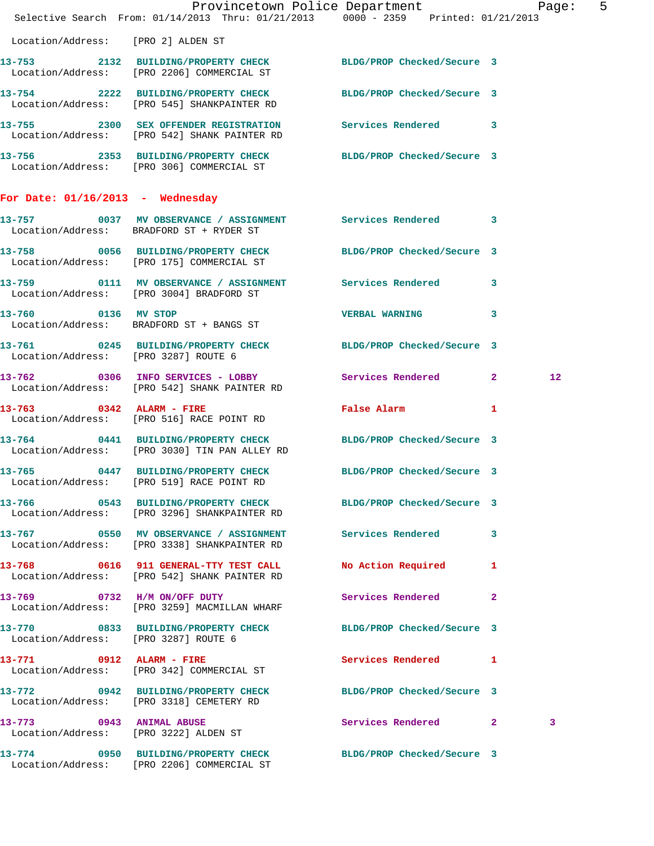|                                    | Provincetown Police Department Page: 5<br>Selective Search From: 01/14/2013 Thru: 01/21/2013 0000 - 2359 Printed: 01/21/2013 |                            |   |         |  |
|------------------------------------|------------------------------------------------------------------------------------------------------------------------------|----------------------------|---|---------|--|
|                                    | Location/Address: [PRO 2] ALDEN ST                                                                                           |                            |   |         |  |
|                                    | 13-753 2132 BUILDING/PROPERTY CHECK BLDG/PROP Checked/Secure 3<br>Location/Address: [PRO 2206] COMMERCIAL ST                 |                            |   |         |  |
|                                    | 13-754 2222 BUILDING/PROPERTY CHECK BLDG/PROP Checked/Secure 3<br>Location/Address: [PRO 545] SHANKPAINTER RD                |                            |   |         |  |
|                                    | 13-755 2300 SEX OFFENDER REGISTRATION Services Rendered 3<br>Location/Address: [PRO 542] SHANK PAINTER RD                    |                            |   |         |  |
|                                    | 13-756 2353 BUILDING/PROPERTY CHECK BLDG/PROP Checked/Secure 3<br>Location/Address: [PRO 306] COMMERCIAL ST                  |                            |   |         |  |
| For Date: $01/16/2013$ - Wednesday |                                                                                                                              |                            |   |         |  |
|                                    | 13-757 0037 MV OBSERVANCE / ASSIGNMENT Services Rendered 3<br>Location/Address: BRADFORD ST + RYDER ST                       |                            |   |         |  |
|                                    | 13-758 0056 BUILDING/PROPERTY CHECK BLDG/PROP Checked/Secure 3<br>Location/Address: [PRO 175] COMMERCIAL ST                  |                            |   |         |  |
|                                    | 13-759 0111 MV OBSERVANCE / ASSIGNMENT Services Rendered 3<br>Location/Address: [PRO 3004] BRADFORD ST                       |                            |   |         |  |
| 13-760 0136 MV STOP                | Location/Address: BRADFORD ST + BANGS ST                                                                                     | <b>VERBAL WARNING</b>      | 3 |         |  |
|                                    | 13-761 0245 BUILDING/PROPERTY CHECK BLDG/PROP Checked/Secure 3<br>Location/Address: [PRO 3287] ROUTE 6                       |                            |   |         |  |
|                                    | 13-762 0306 INFO SERVICES - LOBBY Services Rendered 2<br>Location/Address: [PRO 542] SHANK PAINTER RD                        |                            |   | $12 \,$ |  |
|                                    | 13-763 0342 ALARM - FIRE<br>Location/Address: [PRO 516] RACE POINT RD                                                        | False Alarm 1              |   |         |  |
|                                    | 13-764 0441 BUILDING/PROPERTY CHECK BLDG/PROP Checked/Secure 3<br>Location/Address: [PRO 3030] TIN PAN ALLEY RD              |                            |   |         |  |
|                                    | 13-765 0447 BUILDING/PROPERTY CHECK BLDG/PROP Checked/Secure 3<br>Location/Address: [PRO 519] RACE POINT RD                  |                            |   |         |  |
|                                    | 13-766 0543 BUILDING/PROPERTY CHECK BLDG/PROP Checked/Secure 3<br>Location/Address: [PRO 3296] SHANKPAINTER RD               |                            |   |         |  |
|                                    | 13-767 6550 MV OBSERVANCE / ASSIGNMENT Services Rendered 3<br>Location/Address: [PRO 3338] SHANKPAINTER RD                   |                            |   |         |  |
|                                    | 13-768 0616 911 GENERAL-TTY TEST CALL No Action Required 1<br>Location/Address: [PRO 542] SHANK PAINTER RD                   |                            |   |         |  |
|                                    | 13-769 0732 H/M ON/OFF DUTY<br>Location/Address: [PRO 3259] MACMILLAN WHARF                                                  | Services Rendered 2        |   |         |  |
|                                    | 13-770 0833 BUILDING/PROPERTY CHECK BLDG/PROP Checked/Secure 3<br>Location/Address: [PRO 3287] ROUTE 6                       |                            |   |         |  |
|                                    | 13-771 0912 ALARM - FIRE<br>Location/Address: [PRO 342] COMMERCIAL ST                                                        | <b>Services Rendered</b> 1 |   |         |  |
|                                    | 13-772 0942 BUILDING/PROPERTY CHECK BLDG/PROP Checked/Secure 3<br>Location/Address: [PRO 3318] CEMETERY RD                   |                            |   |         |  |
|                                    | 13-773 0943 ANIMAL ABUSE<br>Location/Address: [PRO 3222] ALDEN ST                                                            | Services Rendered 2        |   | 3       |  |
|                                    | 13-774 0950 BUILDING/PROPERTY CHECK BLDG/PROP Checked/Secure 3<br>Location/Address: [PRO 2206] COMMERCIAL ST                 |                            |   |         |  |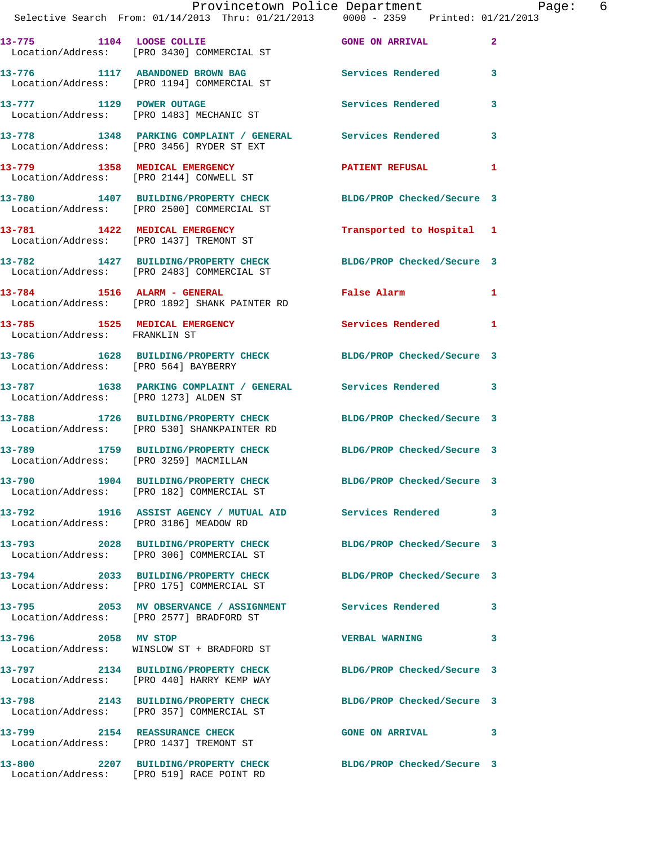|                               | Provincetown Police Department Page: 6<br>Selective Search From: 01/14/2013 Thru: 01/21/2013 0000 - 2359 Printed: 01/21/2013 |                            |              |  |
|-------------------------------|------------------------------------------------------------------------------------------------------------------------------|----------------------------|--------------|--|
|                               | 13-775 1104 LOOSE COLLIE CONNER CONNER CONNER CONNER CONNER CONNE<br>Location/Address: [PRO 3430] COMMERCIAL ST              |                            | $\mathbf{2}$ |  |
|                               | 13-776 1117 ABANDONED BROWN BAG Services Rendered 3<br>Location/Address: [PRO 1194] COMMERCIAL ST                            |                            |              |  |
|                               | 13-777 1129 POWER OUTAGE<br>Location/Address: [PRO 1483] MECHANIC ST                                                         | Services Rendered          | 3            |  |
|                               | 13-778 1348 PARKING COMPLAINT / GENERAL Services Rendered<br>Location/Address: [PRO 3456] RYDER ST EXT                       |                            | $\mathbf{3}$ |  |
|                               | 13-779 1358 MEDICAL EMERGENCY<br>Location/Address: [PRO 2144] CONWELL ST                                                     | PATIENT REFUSAL 1          |              |  |
|                               | 13-780 1407 BUILDING/PROPERTY CHECK BLDG/PROP Checked/Secure 3<br>Location/Address: [PRO 2500] COMMERCIAL ST                 |                            |              |  |
|                               | 13-781 1422 MEDICAL EMERGENCY<br>Location/Address: [PRO 1437] TREMONT ST                                                     | Transported to Hospital 1  |              |  |
|                               | 13-782 1427 BUILDING/PROPERTY CHECK BLDG/PROP Checked/Secure 3<br>Location/Address: [PRO 2483] COMMERCIAL ST                 |                            |              |  |
|                               | 13-784 1516 ALARM - GENERAL<br>Location/Address: [PRO 1892] SHANK PAINTER RD                                                 | False Alarm 1              |              |  |
| Location/Address: FRANKLIN ST | 13-785 1525 MEDICAL EMERGENCY 1 Services Rendered 1                                                                          |                            |              |  |
|                               | 13-786 1628 BUILDING/PROPERTY CHECK BLDG/PROP Checked/Secure 3<br>Location/Address: [PRO 564] BAYBERRY                       |                            |              |  |
|                               | 13-787 1638 PARKING COMPLAINT / GENERAL Services Rendered 3<br>Location/Address: [PRO 1273] ALDEN ST                         |                            |              |  |
|                               | 13-788 1726 BUILDING/PROPERTY CHECK BLDG/PROP Checked/Secure 3<br>Location/Address: [PRO 530] SHANKPAINTER RD                |                            |              |  |
|                               | 13-789 1759 BUILDING/PROPERTY CHECK BLDG/PROP Checked/Secure 3<br>Location/Address: [PRO 3259] MACMILLAN                     |                            |              |  |
|                               | 13-790 1904 BUILDING/PROPERTY CHECK<br>Location/Address: [PRO 182] COMMERCIAL ST                                             | BLDG/PROP Checked/Secure 3 |              |  |
|                               | 13-792 1916 ASSIST AGENCY / MUTUAL AID Services Rendered<br>Location/Address: [PRO 3186] MEADOW RD                           |                            | 3            |  |
|                               | 13-793 2028 BUILDING/PROPERTY CHECK<br>Location/Address: [PRO 306] COMMERCIAL ST                                             | BLDG/PROP Checked/Secure 3 |              |  |
|                               | 13-794 2033 BUILDING/PROPERTY CHECK BLDG/PROP Checked/Secure 3<br>Location/Address: [PRO 175] COMMERCIAL ST                  |                            |              |  |
|                               | 13-795 2053 MV OBSERVANCE / ASSIGNMENT Services Rendered 3<br>Location/Address: [PRO 2577] BRADFORD ST                       |                            |              |  |
|                               | 13-796 2058 MV STOP<br>Location/Address: WINSLOW ST + BRADFORD ST                                                            | <b>VERBAL WARNING</b>      | 3            |  |
|                               | 13-797 2134 BUILDING/PROPERTY CHECK BLDG/PROP Checked/Secure 3<br>Location/Address: [PRO 440] HARRY KEMP WAY                 |                            |              |  |
|                               | 13-798 2143 BUILDING/PROPERTY CHECK BLDG/PROP Checked/Secure 3<br>Location/Address: [PRO 357] COMMERCIAL ST                  |                            |              |  |
|                               | 13-799 2154 REASSURANCE CHECK<br>Location/Address: [PRO 1437] TREMONT ST                                                     | <b>GONE ON ARRIVAL</b>     | 3            |  |
|                               | 13-800 2207 BUILDING/PROPERTY CHECK BLDG/PROP Checked/Secure 3<br>Location/Address: [PRO 519] RACE POINT RD                  |                            |              |  |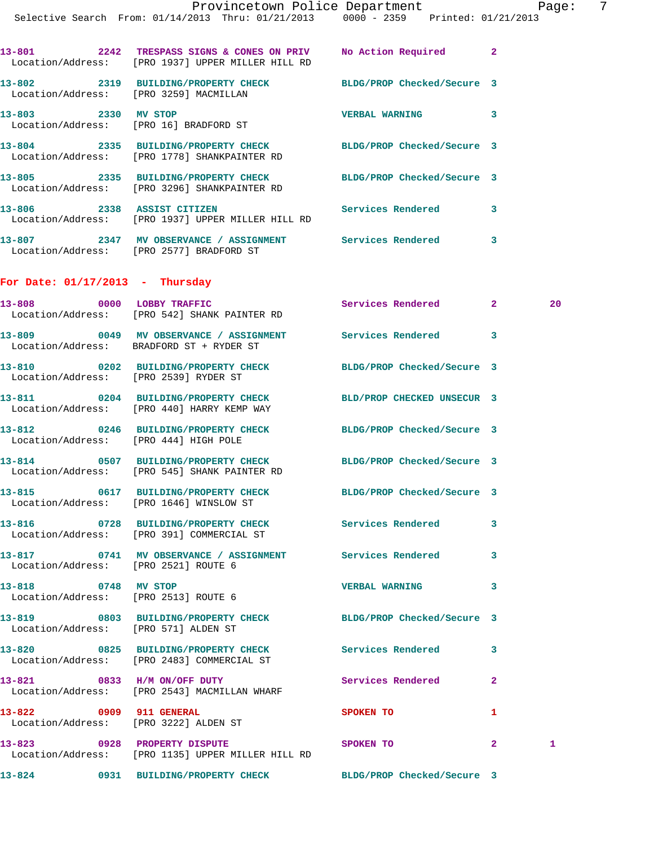| 13-801<br>2242<br>Location/Address: | TRESPASS SIGNS & CONES ON PRIV<br>FPRO 19371 UPPER MILLER HILL RD | No Action Required         | $\overline{2}$ |
|-------------------------------------|-------------------------------------------------------------------|----------------------------|----------------|
| 13-802<br>2319<br>Location/Address: | BUILDING/PROPERTY CHECK<br>[PRO 3259] MACMILLAN                   | BLDG/PROP Checked/Secure 3 |                |
| 13-803<br>2330<br>Location/Address: | MV STOP<br>[PRO 16] BRADFORD ST                                   | <b>VERBAL WARNING</b>      | 3              |
| 13-804<br>2335<br>Location/Address: | <b>BUILDING/PROPERTY CHECK</b><br>[PRO 1778] SHANKPAINTER RD      | BLDG/PROP Checked/Secure 3 |                |
| 13-805<br>2335<br>Location/Address: | <b>BUILDING/PROPERTY CHECK</b><br>[PRO 3296] SHANKPAINTER RD      | BLDG/PROP Checked/Secure 3 |                |
| 13-806<br>2338<br>Location/Address: | <b>ASSIST CITIZEN</b><br>FPRO 19371 UPPER MILLER HILL RD          | Services Rendered          | 3              |

**13-807 2347 MV OBSERVANCE / ASSIGNMENT Services Rendered 3**  Location/Address: [PRO 2577] BRADFORD ST

## **For Date: 01/17/2013 - Thursday**

|                                                                  | 13-808 0000 LOBBY TRAFFIC<br>Location/Address: [PRO 542] SHANK PAINTER RD                                    | Services Rendered          | $\mathbf{2}$   | 20 |
|------------------------------------------------------------------|--------------------------------------------------------------------------------------------------------------|----------------------------|----------------|----|
|                                                                  | 13-809 0049 MV OBSERVANCE / ASSIGNMENT Services Rendered 3<br>Location/Address: BRADFORD ST + RYDER ST       |                            |                |    |
| Location/Address: [PRO 2539] RYDER ST                            | 13-810 0202 BUILDING/PROPERTY CHECK BLDG/PROP Checked/Secure 3                                               |                            |                |    |
|                                                                  | 13-811 0204 BUILDING/PROPERTY CHECK BLD/PROP CHECKED UNSECUR 3<br>Location/Address: [PRO 440] HARRY KEMP WAY |                            |                |    |
| Location/Address: [PRO 444] HIGH POLE                            | 13-812 0246 BUILDING/PROPERTY CHECK                                                                          | BLDG/PROP Checked/Secure 3 |                |    |
|                                                                  | 13-814 0507 BUILDING/PROPERTY CHECK<br>Location/Address: [PRO 545] SHANK PAINTER RD                          | BLDG/PROP Checked/Secure 3 |                |    |
|                                                                  | 13-815 0617 BUILDING/PROPERTY CHECK<br>Location/Address: [PRO 1646] WINSLOW ST                               | BLDG/PROP Checked/Secure 3 |                |    |
|                                                                  | 13-816 0728 BUILDING/PROPERTY CHECK<br>Location/Address: [PRO 391] COMMERCIAL ST                             | <b>Services Rendered</b>   | 3              |    |
| Location/Address: [PRO 2521] ROUTE 6                             | 13-817 0741 MV OBSERVANCE / ASSIGNMENT Services Rendered                                                     |                            | 3              |    |
| 13-818 0748 MV STOP<br>Location/Address: [PRO 2513] ROUTE 6      |                                                                                                              | <b>VERBAL WARNING</b>      | 3              |    |
| Location/Address: [PRO 571] ALDEN ST                             | 13-819 0803 BUILDING/PROPERTY CHECK BLDG/PROP Checked/Secure 3                                               |                            |                |    |
|                                                                  | 13-820 0825 BUILDING/PROPERTY CHECK<br>Location/Address: [PRO 2483] COMMERCIAL ST                            | <b>Services Rendered</b>   | 3              |    |
|                                                                  | 13-821 0833 H/M ON/OFF DUTY<br>Location/Address: [PRO 2543] MACMILLAN WHARF                                  | Services Rendered          | $\overline{2}$ |    |
| 13-822 0909 911 GENERAL<br>Location/Address: [PRO 3222] ALDEN ST |                                                                                                              | SPOKEN TO                  | 1              |    |
| 13-823 0928 PROPERTY DISPUTE                                     | Location/Address: [PRO 1135] UPPER MILLER HILL RD                                                            | SPOKEN TO                  | $\overline{2}$ | 1. |
|                                                                  | 13-824 0931 BUILDING/PROPERTY CHECK BLDG/PROP Checked/Secure 3                                               |                            |                |    |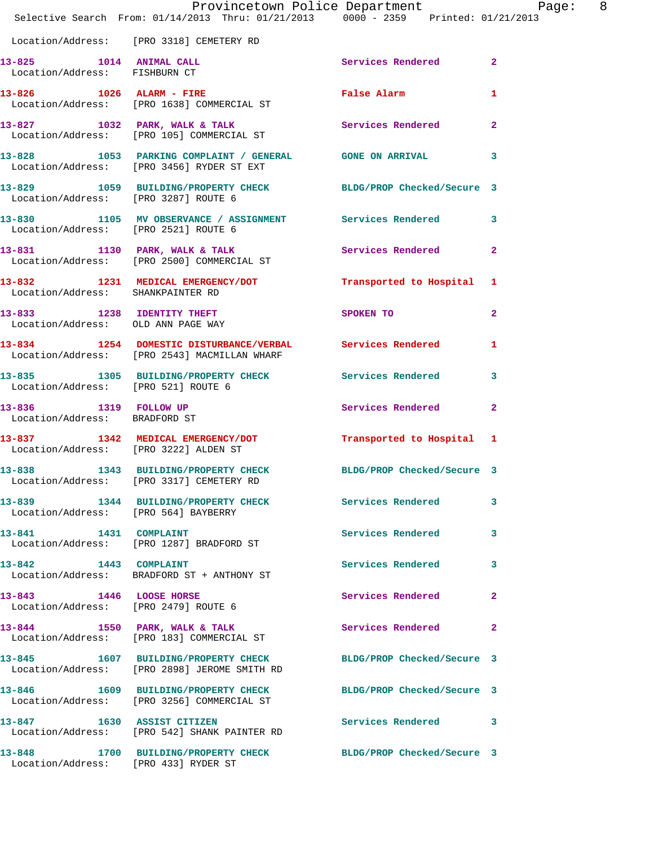|                                                                  | Provincetown Police Department Page: 8<br>Selective Search From: 01/14/2013 Thru: 01/21/2013 0000 - 2359 Printed: 01/21/2013 |                              |              |
|------------------------------------------------------------------|------------------------------------------------------------------------------------------------------------------------------|------------------------------|--------------|
|                                                                  | Location/Address: [PRO 3318] CEMETERY RD                                                                                     |                              |              |
| Location/Address: FISHBURN CT                                    | 13-825 1014 ANIMAL CALL                                                                                                      | Services Rendered 2          |              |
|                                                                  | 13-826 1026 ALARM - FIRE<br>Location/Address: [PRO 1638] COMMERCIAL ST                                                       | False Alarm <b>Example 2</b> | 1            |
|                                                                  | 13-827 1032 PARK, WALK & TALK Services Rendered 2<br>Location/Address: [PRO 105] COMMERCIAL ST                               |                              |              |
|                                                                  | 13-828 1053 PARKING COMPLAINT / GENERAL GONE ON ARRIVAL 3<br>Location/Address: [PRO 3456] RYDER ST EXT                       |                              |              |
|                                                                  | 13-829 1059 BUILDING/PROPERTY CHECK BLDG/PROP Checked/Secure 3<br>Location/Address: [PRO 3287] ROUTE 6                       |                              |              |
|                                                                  | 13-830 1105 MV OBSERVANCE / ASSIGNMENT Services Rendered 3<br>Location/Address: [PRO 2521] ROUTE 6                           |                              |              |
|                                                                  | 13-831 1130 PARK, WALK & TALK STARE Services Rendered Location/Address: [PRO 2500] COMMERCIAL ST                             |                              | $\mathbf{2}$ |
| Location/Address: SHANKPAINTER RD                                | 13-832 1231 MEDICAL EMERGENCY/DOT Transported to Hospital 1                                                                  |                              |              |
| 13-833 1238 IDENTITY THEFT<br>Location/Address: OLD ANN PAGE WAY |                                                                                                                              | <b>SPOKEN TO</b>             | $\mathbf{2}$ |
|                                                                  | 13-834 1254 DOMESTIC DISTURBANCE/VERBAL Services Rendered 1<br>Location/Address: [PRO 2543] MACMILLAN WHARF                  |                              |              |
| Location/Address: [PRO 521] ROUTE 6                              | 13-835 1305 BUILDING/PROPERTY CHECK Services Rendered 3                                                                      |                              |              |
| Location/Address: BRADFORD ST                                    | 13-836 1319 FOLLOW UP                                                                                                        | Services Rendered 2          |              |
|                                                                  | 13-837 1342 MEDICAL EMERGENCY/DOT<br>Location/Address: [PRO 3222] ALDEN ST                                                   | Transported to Hospital 1    |              |
| 13-838                                                           | 1343 BUILDING/PROPERTY CHECK BLDG/PROP Checked/Secure 3<br>Location/Address: [PRO 3317] CEMETERY RD                          |                              |              |
|                                                                  | 13-839 1344 BUILDING/PROPERTY CHECK Services Rendered<br>Location/Address: [PRO 564] BAYBERRY                                |                              | 3            |
|                                                                  | 13-841 1431 COMPLAINT<br>Location/Address: [PRO 1287] BRADFORD ST                                                            | Services Rendered 3          |              |
| 13-842 1443 COMPLAINT                                            | Location/Address: BRADFORD ST + ANTHONY ST                                                                                   | Services Rendered            | 3            |
| 13-843 1446 LOOSE HORSE                                          | Location/Address: [PRO 2479] ROUTE 6                                                                                         | Services Rendered            | $\mathbf{2}$ |
|                                                                  | 13-844 1550 PARK, WALK & TALK<br>Location/Address: [PRO 183] COMMERCIAL ST                                                   | Services Rendered            | $\mathbf{2}$ |
|                                                                  | 13-845 1607 BUILDING/PROPERTY CHECK BLDG/PROP Checked/Secure 3<br>Location/Address: [PRO 2898] JEROME SMITH RD               |                              |              |
|                                                                  | 13-846 1609 BUILDING/PROPERTY CHECK BLDG/PROP Checked/Secure 3<br>Location/Address: [PRO 3256] COMMERCIAL ST                 |                              |              |
|                                                                  | 13-847 1630 ASSIST CITIZEN<br>Location/Address: [PRO 542] SHANK PAINTER RD                                                   | Services Rendered 3          |              |
|                                                                  | 13-848 1700 BUILDING/PROPERTY CHECK BLDG/PROP Checked/Secure 3<br>Location/Address: [PRO 433] RYDER ST                       |                              |              |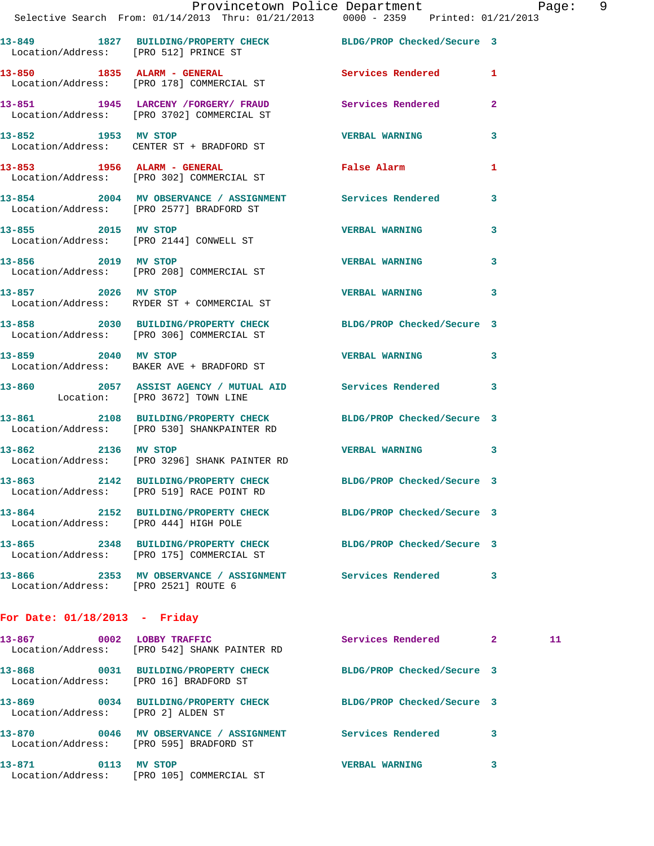**13-849 1827 BUILDING/PROPERTY CHECK BLDG/PROP Checked/Secure 3**  Location/Address: [PRO 512] PRINCE ST **13-850 1835 ALARM - GENERAL Services Rendered 1**  Location/Address: [PRO 178] COMMERCIAL ST **13-851 1945 LARCENY /FORGERY/ FRAUD Services Rendered 2**  Location/Address: [PRO 3702] COMMERCIAL ST **13-852 1953 MV STOP VERBAL WARNING 3**  Location/Address: CENTER ST + BRADFORD ST **13-853 1956 ALARM - GENERAL False Alarm 1**  Location/Address: [PRO 302] COMMERCIAL ST **13-854 2004 MV OBSERVANCE / ASSIGNMENT Services Rendered 3**  Location/Address: [PRO 2577] BRADFORD ST **13-855 2015 MV STOP VERBAL WARNING 3**  Location/Address: [PRO 2144] CONWELL ST **13-856 2019 MV STOP VERBAL WARNING 3**  Location/Address: [PRO 208] COMMERCIAL ST **13-857 2026 MV STOP VERBAL WARNING 3**  Location/Address: RYDER ST + COMMERCIAL ST **13-858 2030 BUILDING/PROPERTY CHECK BLDG/PROP Checked/Secure 3** 

 Location/Address: [PRO 306] COMMERCIAL ST **13-859 2040 MV STOP VERBAL WARNING 3**  Location/Address: BAKER AVE + BRADFORD ST **13-860 2057 ASSIST AGENCY / MUTUAL AID Services Rendered 3**  Location: [PRO 3672] TOWN LINE **13-861 2108 BUILDING/PROPERTY CHECK BLDG/PROP Checked/Secure 3**  Location/Address: [PRO 530] SHANKPAINTER RD **13-862 2136 MV STOP VERBAL WARNING 3**  Location/Address: [PRO 3296] SHANK PAINTER RD **13-863 2142 BUILDING/PROPERTY CHECK BLDG/PROP Checked/Secure 3**  Location/Address: [PRO 519] RACE POINT RD **13-864 2152 BUILDING/PROPERTY CHECK BLDG/PROP Checked/Secure 3**  Location/Address: [PRO 444] HIGH POLE

**13-865 2348 BUILDING/PROPERTY CHECK BLDG/PROP Checked/Secure 3**  Location/Address: [PRO 175] COMMERCIAL ST **13-866 2353 MV OBSERVANCE / ASSIGNMENT Services Rendered 3**  Location/Address: [PRO 2521] ROUTE 6

## **For Date: 01/18/2013 - Friday**

| 13-867<br>0002                      | <b>LOBBY TRAFFIC</b><br>Location/Address: [PRO 542] SHANK PAINTER RD | Services Rendered          | $\overline{2}$ | 11 |
|-------------------------------------|----------------------------------------------------------------------|----------------------------|----------------|----|
| 13-868<br>0031<br>Location/Address: | <b>BUILDING/PROPERTY CHECK</b><br>[PRO 16] BRADFORD ST               | BLDG/PROP Checked/Secure 3 |                |    |
| 13-869<br>0034<br>Location/Address: | <b>BUILDING/PROPERTY CHECK</b><br>[PRO 2] ALDEN ST                   | BLDG/PROP Checked/Secure 3 |                |    |
| 13-870<br>0046<br>Location/Address: | MV OBSERVANCE / ASSIGNMENT<br>FRO 5951 BRADFORD ST                   | Services Rendered          | 3              |    |
| 13-871<br>0113<br>Location/Address: | MV STOP<br>[PRO 105] COMMERCIAL ST                                   | <b>VERBAL WARNING</b>      | 3              |    |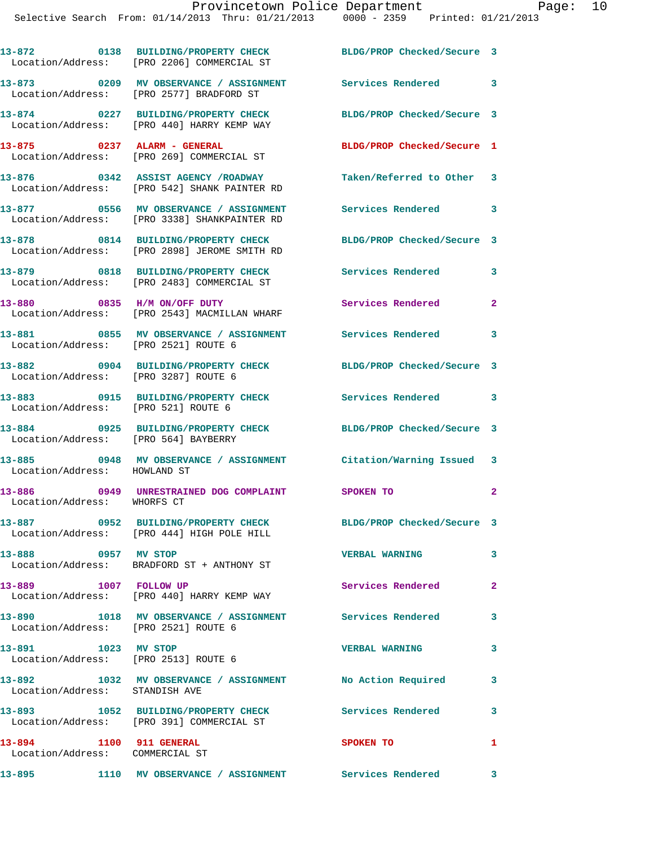|                                                               | 13-872 0138 BUILDING/PROPERTY CHECK<br>Location/Address: [PRO 2206] COMMERCIAL ST      | BLDG/PROP Checked/Secure 3 |                            |
|---------------------------------------------------------------|----------------------------------------------------------------------------------------|----------------------------|----------------------------|
|                                                               | 13-873 0209 MV OBSERVANCE / ASSIGNMENT<br>Location/Address: [PRO 2577] BRADFORD ST     | Services Rendered 3        |                            |
|                                                               | 13-874 0227 BUILDING/PROPERTY CHECK<br>Location/Address: [PRO 440] HARRY KEMP WAY      | BLDG/PROP Checked/Secure 3 |                            |
| 13-875 0237 ALARM - GENERAL                                   | Location/Address: [PRO 269] COMMERCIAL ST                                              | BLDG/PROP Checked/Secure 1 |                            |
|                                                               | 13-876 0342 ASSIST AGENCY / ROADWAY<br>Location/Address: [PRO 542] SHANK PAINTER RD    | Taken/Referred to Other 3  |                            |
|                                                               | 13-877 0556 MV OBSERVANCE / ASSIGNMENT<br>Location/Address: [PRO 3338] SHANKPAINTER RD | <b>Services Rendered</b>   | $\sim$ 3                   |
|                                                               | 13-878 0814 BUILDING/PROPERTY CHECK<br>Location/Address: [PRO 2898] JEROME SMITH RD    | BLDG/PROP Checked/Secure 3 |                            |
|                                                               | 13-879 0818 BUILDING/PROPERTY CHECK<br>Location/Address: [PRO 2483] COMMERCIAL ST      | <b>Services Rendered</b>   | 3                          |
|                                                               | 13-880 0835 H/M ON/OFF DUTY<br>Location/Address: [PRO 2543] MACMILLAN WHARF            | Services Rendered          | $\mathbf{2}$               |
| Location/Address: [PRO 2521] ROUTE 6                          | 13-881 0855 MV OBSERVANCE / ASSIGNMENT                                                 | Services Rendered          | 3                          |
| Location/Address: [PRO 3287] ROUTE 6                          | 13-882 0904 BUILDING/PROPERTY CHECK BLDG/PROP Checked/Secure 3                         |                            |                            |
| Location/Address: [PRO 521] ROUTE 6                           | 13-883 0915 BUILDING/PROPERTY CHECK                                                    | Services Rendered 3        |                            |
| 13-884<br>Location/Address: [PRO 564] BAYBERRY                | 0925 BUILDING/PROPERTY CHECK                                                           | BLDG/PROP Checked/Secure 3 |                            |
| Location/Address: HOWLAND ST                                  | 13-885 0948 MV OBSERVANCE / ASSIGNMENT Citation/Warning Issued 3                       |                            |                            |
| Location/Address: WHORFS CT                                   | 13-886 0949 UNRESTRAINED DOG COMPLAINT SPOKEN TO                                       |                            | $\mathbf{2}$               |
|                                                               | 13-887 0952 BUILDING/PROPERTY CHECK<br>Location/Address: [PRO 444] HIGH POLE HILL      | BLDG/PROP Checked/Secure 3 |                            |
| 0957 MV STOP<br>13-888                                        | Location/Address: BRADFORD ST + ANTHONY ST                                             | <b>VERBAL WARNING</b>      | 3                          |
| 13-889 1007 FOLLOW UP                                         | Location/Address: [PRO 440] HARRY KEMP WAY                                             | Services Rendered          | $\mathbf{2}$               |
| Location/Address: [PRO 2521] ROUTE 6                          | 13-890 1018 MV OBSERVANCE / ASSIGNMENT Services Rendered                               |                            | $\mathbf{3}$               |
| 13-891 1023 MV STOP<br>Location/Address: [PRO 2513] ROUTE 6   |                                                                                        | <b>VERBAL WARNING</b>      | 3                          |
| Location/Address: STANDISH AVE                                | 13-892 1032 MV OBSERVANCE / ASSIGNMENT No Action Required                              |                            | $\overline{\phantom{a}}$ 3 |
|                                                               | 13-893 1052 BUILDING/PROPERTY CHECK<br>Location/Address: [PRO 391] COMMERCIAL ST       | Services Rendered          | 3                          |
| 1100 911 GENERAL<br>13-894<br>Location/Address: COMMERCIAL ST |                                                                                        | SPOKEN TO                  | 1                          |
| 13-895                                                        | 1110 MV OBSERVANCE / ASSIGNMENT Services Rendered 3                                    |                            |                            |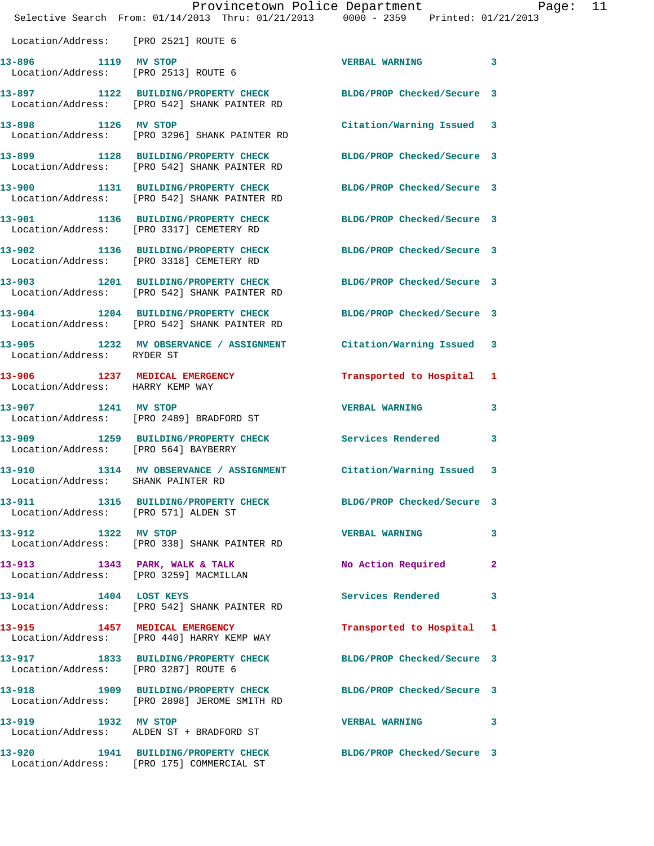|                                              | Provincetown Police Department Page: 11<br>Selective Search From: 01/14/2013 Thru: 01/21/2013 0000 - 2359 Printed: 01/21/2013 |                            |    |
|----------------------------------------------|-------------------------------------------------------------------------------------------------------------------------------|----------------------------|----|
| Location/Address: [PRO 2521] ROUTE 6         |                                                                                                                               |                            |    |
| 13-896 1119 MV STOP                          | Location/Address: [PRO 2513] ROUTE 6                                                                                          | VERBAL WARNING 3           |    |
|                                              | 13-897 1122 BUILDING/PROPERTY CHECK BLDG/PROP Checked/Secure 3<br>Location/Address: [PRO 542] SHANK PAINTER RD                |                            |    |
| 13-898 1126 MV STOP                          | Location/Address: [PRO 3296] SHANK PAINTER RD                                                                                 | Citation/Warning Issued 3  |    |
|                                              | 13-899 1128 BUILDING/PROPERTY CHECK BLDG/PROP Checked/Secure 3<br>Location/Address: [PRO 542] SHANK PAINTER RD                |                            |    |
|                                              | 13-900 1131 BUILDING/PROPERTY CHECK BLDG/PROP Checked/Secure 3<br>Location/Address: [PRO 542] SHANK PAINTER RD                |                            |    |
|                                              | 13-901 1136 BUILDING/PROPERTY CHECK BLDG/PROP Checked/Secure 3<br>Location/Address: [PRO 3317] CEMETERY RD                    |                            |    |
|                                              | 13-902 1136 BUILDING/PROPERTY CHECK<br>Location/Address: [PRO 3318] CEMETERY RD                                               | BLDG/PROP Checked/Secure 3 |    |
|                                              | 13-903 1201 BUILDING/PROPERTY CHECK BLDG/PROP Checked/Secure 3<br>Location/Address: [PRO 542] SHANK PAINTER RD                |                            |    |
|                                              | 13-904 1204 BUILDING/PROPERTY CHECK BLDG/PROP Checked/Secure 3<br>Location/Address: [PRO 542] SHANK PAINTER RD                |                            |    |
| Location/Address: RYDER ST                   | 13-905 1232 MV OBSERVANCE / ASSIGNMENT Citation/Warning Issued 3                                                              |                            |    |
| Location/Address: HARRY KEMP WAY             | 13-906 1237 MEDICAL EMERGENCY                                                                                                 | Transported to Hospital 1  |    |
| 13-907 1241 MV STOP                          | Location/Address: [PRO 2489] BRADFORD ST                                                                                      | <b>VERBAL WARNING</b>      | 3  |
| Location/Address: [PRO 564] BAYBERRY         | 13-909 1259 BUILDING/PROPERTY CHECK Services Rendered                                                                         |                            | 3  |
| 13-910<br>Location/Address: SHANK PAINTER RD | 1314 MV OBSERVANCE / ASSIGNMENT Citation/Warning Issued 3                                                                     |                            |    |
| Location/Address: [PRO 571] ALDEN ST         | 13-911 1315 BUILDING/PROPERTY CHECK BLDG/PROP Checked/Secure 3                                                                |                            |    |
| 13-912 1322 MV STOP                          | Location/Address: [PRO 338] SHANK PAINTER RD                                                                                  | <b>VERBAL WARNING</b>      | 3  |
|                                              | 13-913 1343 PARK, WALK & TALK<br>Location/Address: [PRO 3259] MACMILLAN                                                       | No Action Required         | -2 |
| 13-914 1404 LOST KEYS                        | Location/Address: [PRO 542] SHANK PAINTER RD                                                                                  | Services Rendered          | 3  |
|                                              | 13-915 1457 MEDICAL EMERGENCY<br>Location/Address: [PRO 440] HARRY KEMP WAY                                                   | Transported to Hospital 1  |    |
| Location/Address: [PRO 3287] ROUTE 6         | 13-917 1833 BUILDING/PROPERTY CHECK BLDG/PROP Checked/Secure 3                                                                |                            |    |
|                                              | 13-918 1909 BUILDING/PROPERTY CHECK BLDG/PROP Checked/Secure 3<br>Location/Address: [PRO 2898] JEROME SMITH RD                |                            |    |
| 13-919 1932 MV STOP                          | Location/Address: ALDEN ST + BRADFORD ST                                                                                      | VERBAL WARNING 3           |    |
|                                              | 13-920 1941 BUILDING/PROPERTY CHECK BLDG/PROP Checked/Secure 3<br>Location/Address: [PRO 175] COMMERCIAL ST                   |                            |    |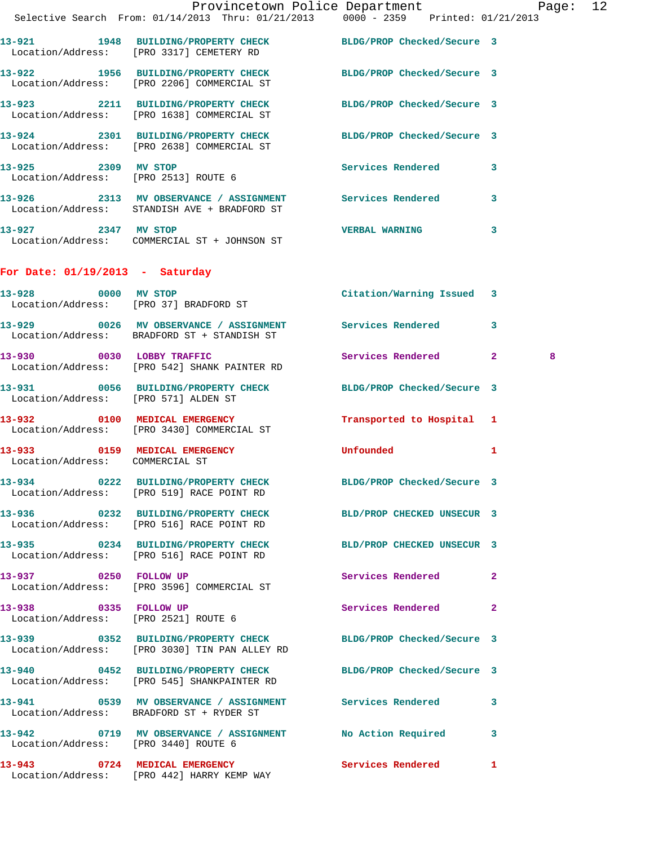|                                                               | Provincetown Police Department<br>Selective Search From: 01/14/2013 Thru: 01/21/2013 0000 - 2359 Printed: 01/21/2013 |                            |              |  |
|---------------------------------------------------------------|----------------------------------------------------------------------------------------------------------------------|----------------------------|--------------|--|
|                                                               | 13-921 1948 BUILDING/PROPERTY CHECK BLDG/PROP Checked/Secure 3<br>Location/Address: [PRO 3317] CEMETERY RD           |                            |              |  |
|                                                               | 13-922 1956 BUILDING/PROPERTY CHECK<br>Location/Address: [PRO 2206] COMMERCIAL ST                                    | BLDG/PROP Checked/Secure 3 |              |  |
|                                                               | 13-923 2211 BUILDING/PROPERTY CHECK BLDG/PROP Checked/Secure 3<br>Location/Address: [PRO 1638] COMMERCIAL ST         |                            |              |  |
|                                                               | 13-924 2301 BUILDING/PROPERTY CHECK BLDG/PROP Checked/Secure 3<br>Location/Address: [PRO 2638] COMMERCIAL ST         |                            |              |  |
|                                                               | 13-925 2309 MV STOP<br>Location/Address: [PRO 2513] ROUTE 6                                                          | Services Rendered 3        |              |  |
|                                                               | 13-926 2313 MV OBSERVANCE / ASSIGNMENT Services Rendered 3<br>Location/Address: STANDISH AVE + BRADFORD ST           |                            |              |  |
| 13-927 2347 MV STOP                                           | Location/Address: COMMERCIAL ST + JOHNSON ST                                                                         | <b>VERBAL WARNING</b>      | 3            |  |
| For Date: $01/19/2013$ - Saturday                             |                                                                                                                      |                            |              |  |
|                                                               | 13-928 0000 MV STOP<br>Location/Address: [PRO 37] BRADFORD ST                                                        | Citation/Warning Issued 3  |              |  |
|                                                               | 13-929 0026 MV OBSERVANCE / ASSIGNMENT Services Rendered 3<br>Location/Address: BRADFORD ST + STANDISH ST            |                            |              |  |
|                                                               | 13-930 0030 LOBBY TRAFFIC<br>Location/Address: [PRO 542] SHANK PAINTER RD                                            | Services Rendered 2        | 8            |  |
| Location/Address: [PRO 571] ALDEN ST                          | 13-931 0056 BUILDING/PROPERTY CHECK BLDG/PROP Checked/Secure 3                                                       |                            |              |  |
|                                                               | 13-932 0100 MEDICAL EMERGENCY<br>Location/Address: [PRO 3430] COMMERCIAL ST                                          | Transported to Hospital 1  |              |  |
| Location/Address: COMMERCIAL ST                               | 13-933 0159 MEDICAL EMERGENCY Unfounded                                                                              |                            | 1            |  |
|                                                               | 13-934 0222 BUILDING/PROPERTY CHECK<br>Location/Address: [PRO 519] RACE POINT RD                                     | BLDG/PROP Checked/Secure 3 |              |  |
|                                                               | 13-936 0232 BUILDING/PROPERTY CHECK<br>Location/Address: [PRO 516] RACE POINT RD                                     | BLD/PROP CHECKED UNSECUR 3 |              |  |
|                                                               | 13-935 0234 BUILDING/PROPERTY CHECK<br>Location/Address: [PRO 516] RACE POINT RD                                     | BLD/PROP CHECKED UNSECUR 3 |              |  |
| 13-937 0250 FOLLOW UP                                         | Location/Address: [PRO 3596] COMMERCIAL ST                                                                           | Services Rendered          | $\mathbf{2}$ |  |
| 13-938 0335 FOLLOW UP<br>Location/Address: [PRO 2521] ROUTE 6 |                                                                                                                      | Services Rendered          | $\mathbf{2}$ |  |
|                                                               | 13-939 0352 BUILDING/PROPERTY CHECK BLDG/PROP Checked/Secure 3<br>Location/Address: [PRO 3030] TIN PAN ALLEY RD      |                            |              |  |
|                                                               | 13-940 0452 BUILDING/PROPERTY CHECK<br>Location/Address: [PRO 545] SHANKPAINTER RD                                   | BLDG/PROP Checked/Secure 3 |              |  |
| 13-941                                                        | 0539 MV OBSERVANCE / ASSIGNMENT Services Rendered 3                                                                  |                            |              |  |

**13-942 0719 MV OBSERVANCE / ASSIGNMENT No Action Required 3**  Location/Address: [PRO 3440] ROUTE 6

Location/Address: BRADFORD ST + RYDER ST

**13-943 0724 MEDICAL EMERGENCY Services Rendered 1**  Location/Address: [PRO 442] HARRY KEMP WAY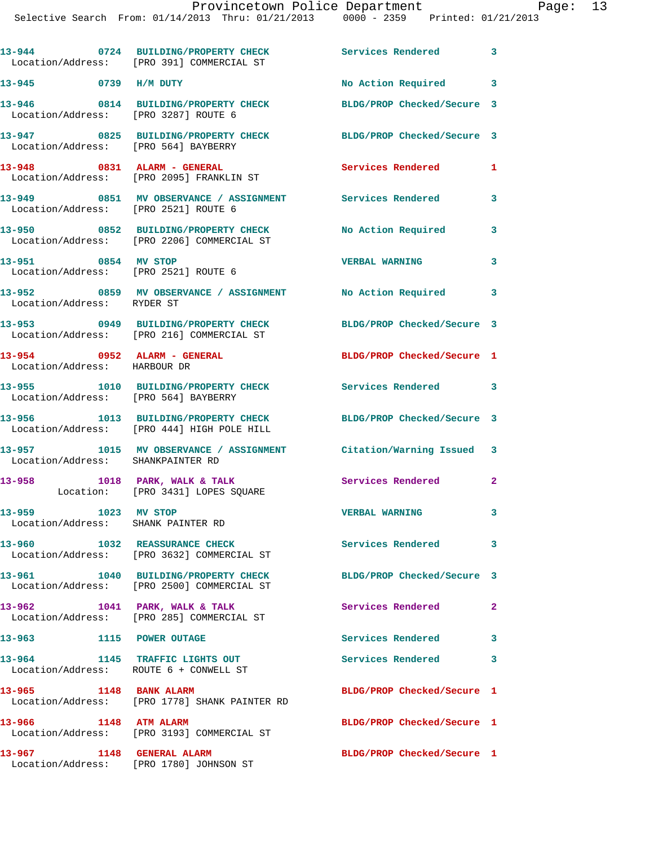Selective Search From: 01/14/2013 Thru: 01/21/2013 0000 - 2359 Printed: 01/21/2013

|                                                               | 13-944 0724 BUILDING/PROPERTY CHECK Services Rendered 3<br>Location/Address: [PRO 391] COMMERCIAL ST           |                            |              |
|---------------------------------------------------------------|----------------------------------------------------------------------------------------------------------------|----------------------------|--------------|
| 13-945 0739 H/M DUTY                                          |                                                                                                                | No Action Required 3       |              |
| Location/Address: [PRO 3287] ROUTE 6                          | 13-946 0814 BUILDING/PROPERTY CHECK                                                                            | BLDG/PROP Checked/Secure 3 |              |
| Location/Address: [PRO 564] BAYBERRY                          | 13-947 0825 BUILDING/PROPERTY CHECK                                                                            | BLDG/PROP Checked/Secure 3 |              |
|                                                               | 13-948 0831 ALARM - GENERAL<br>Location/Address: [PRO 2095] FRANKLIN ST                                        | Services Rendered          | 1            |
|                                                               | 13-949      0851   MV OBSERVANCE / ASSIGNMENT      Services Rendered<br>Location/Address:   [PRO 2521] ROUTE 6 |                            | 3            |
|                                                               | 13-950 0852 BUILDING/PROPERTY CHECK<br>Location/Address: [PRO 2206] COMMERCIAL ST                              | No Action Required         | 3            |
| 13-951 0854 MV STOP                                           | Location/Address: [PRO 2521] ROUTE 6                                                                           | <b>VERBAL WARNING</b>      | 3            |
| Location/Address: RYDER ST                                    | 13-952 0859 MV OBSERVANCE / ASSIGNMENT No Action Required 3                                                    |                            |              |
|                                                               | 13-953 0949 BUILDING/PROPERTY CHECK<br>Location/Address: [PRO 216] COMMERCIAL ST                               | BLDG/PROP Checked/Secure 3 |              |
| $13-954$ 0952 ALARM - GENERAL<br>Location/Address: HARBOUR DR |                                                                                                                | BLDG/PROP Checked/Secure 1 |              |
| Location/Address: [PRO 564] BAYBERRY                          | 13-955 1010 BUILDING/PROPERTY CHECK Services Rendered 3                                                        |                            |              |
|                                                               | 13-956 1013 BUILDING/PROPERTY CHECK<br>Location/Address: [PRO 444] HIGH POLE HILL                              | BLDG/PROP Checked/Secure 3 |              |
| Location/Address: SHANKPAINTER RD                             | 13-957 1015 MV OBSERVANCE / ASSIGNMENT Citation/Warning Issued 3                                               |                            |              |
|                                                               | 13-958 1018 PARK, WALK & TALK<br>Location: [PRO 3431] LOPES SQUARE                                             | Services Rendered 2        |              |
| 13-959 1023 MV STOP<br>Location/Address: SHANK PAINTER RD     |                                                                                                                | <b>VERBAL WARNING</b>      | 3.           |
|                                                               | 13-960 1032 REASSURANCE CHECK<br>Location/Address: [PRO 3632] COMMERCIAL ST                                    | Services Rendered 3        |              |
| 13-961                                                        | 1040 BUILDING/PROPERTY CHECK<br>Location/Address: [PRO 2500] COMMERCIAL ST                                     | BLDG/PROP Checked/Secure 3 |              |
|                                                               | 13-962 1041 PARK, WALK & TALK<br>Location/Address: [PRO 285] COMMERCIAL ST                                     | Services Rendered          | $\mathbf{2}$ |
| 13-963                                                        | 1115 POWER OUTAGE                                                                                              | Services Rendered 3        |              |
| 13–964<br>Location/Address: ROUTE 6 + CONWELL ST              | 1145 TRAFFIC LIGHTS OUT                                                                                        | <b>Services Rendered</b>   | 3            |
| 13-965 1148 BANK ALARM                                        | Location/Address: [PRO 1778] SHANK PAINTER RD                                                                  | BLDG/PROP Checked/Secure 1 |              |
| 13-966 1148 ATM ALARM                                         | Location/Address: [PRO 3193] COMMERCIAL ST                                                                     | BLDG/PROP Checked/Secure 1 |              |
| 13-967 1148 GENERAL ALARM                                     | Location/Address: [PRO 1780] JOHNSON ST                                                                        | BLDG/PROP Checked/Secure 1 |              |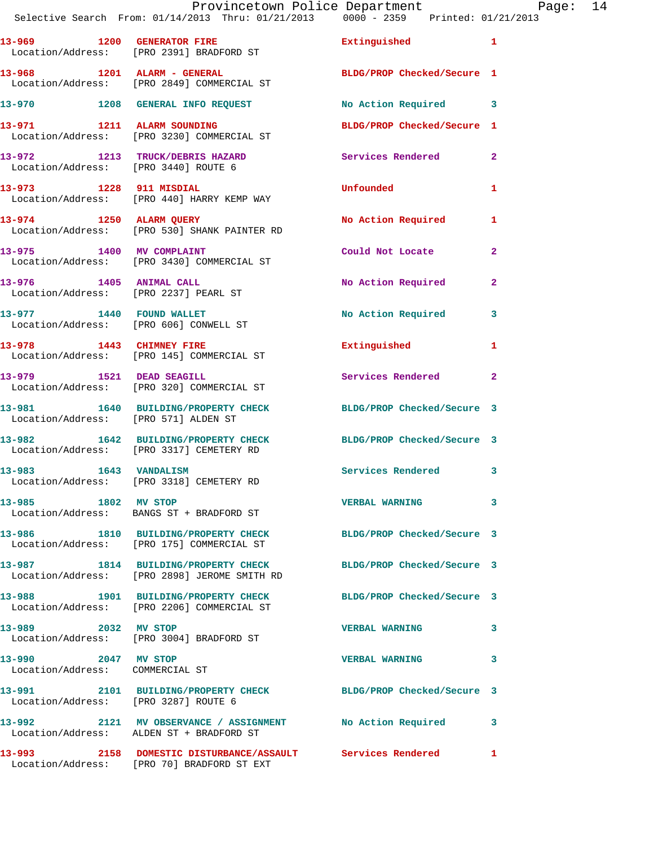|                                                        | Provincetown Police Department |                                 | Paqe: | 14 |
|--------------------------------------------------------|--------------------------------|---------------------------------|-------|----|
| Selective Search From: $01/14/2013$ Thru: $01/21/2013$ |                                | 0000 - 2359 Printed: 01/21/2013 |       |    |

| 13-969<br>Location/Address: | 1200 | <b>GENERATOR FIRE</b><br>[PRO 2391] BRADFORD ST   | Extinguished               |  |
|-----------------------------|------|---------------------------------------------------|----------------------------|--|
| 13-968<br>Location/Address: | 1201 | ALARM - GENERAL<br>[PRO 2849] COMMERCIAL ST       | BLDG/PROP Checked/Secure 1 |  |
| 13-970                      | 1208 | <b>GENERAL INFO REOUEST</b>                       | No Action Required         |  |
| 13-971<br>Location/Address: | 1211 | <b>ALARM SOUNDING</b><br>[PRO 3230] COMMERCIAL ST | BLDG/PROP Checked/Secure 1 |  |

**13-972 1213 TRUCK/DEBRIS HAZARD Services Rendered 2**  Location/Address: [PRO 3440] ROUTE 6

**13-973 1228 911 MISDIAL Unfounded 1**  Location/Address: [PRO 440] HARRY KEMP WAY **13-974 1250 ALARM QUERY No Action Required 1**  Location/Address: [PRO 530] SHANK PAINTER RD

**13-975 1400 MV COMPLAINT Could Not Locate 2**  Location/Address: [PRO 3430] COMMERCIAL ST **13-976 1405 ANIMAL CALL No Action Required 2**  Location/Address: [PRO 2237] PEARL ST 13-977 1440 FOUND WALLET No No Action Required 3 Location/Address: [PRO 606] CONWELL ST **13-978 1443 CHIMNEY FIRE Extinguished 1**  Location/Address: [PRO 145] COMMERCIAL ST

Location/Address: [PRO 320] COMMERCIAL ST

Location/Address: [PRO 571] ALDEN ST

**13-982 1642 BUILDING/PROPERTY CHECK BLDG/PROP Checked/Secure 3**  Location/Address: [PRO 3317] CEMETERY RD

Location/Address: [PRO 3318] CEMETERY RD

Location/Address: BANGS ST + BRADFORD ST

Location/Address: [PRO 175] COMMERCIAL ST

**13-987 1814 BUILDING/PROPERTY CHECK BLDG/PROP Checked/Secure 3**  Location/Address: [PRO 2898] JEROME SMITH RD

**13-988 1901 BUILDING/PROPERTY CHECK BLDG/PROP Checked/Secure 3**  Location/Address: [PRO 2206] COMMERCIAL ST

**13-989 2032 MV STOP VERBAL WARNING 3**  Location/Address: [PRO 3004] BRADFORD ST

Location/Address: COMMERCIAL ST

Location/Address: [PRO 3287] ROUTE 6

Location/Address: ALDEN ST + BRADFORD ST

**13-993 2158 DOMESTIC DISTURBANCE/ASSAULT Services Rendered 1** 

Location/Address: [PRO 70] BRADFORD ST EXT

**13-979 1521 DEAD SEAGILL Services Rendered 2 13-981 1640 BUILDING/PROPERTY CHECK BLDG/PROP Checked/Secure 3** 

**13-983 1643 VANDALISM Services Rendered 3** 

**13-985 1802 MV STOP VERBAL WARNING 3** 

**13-986 1810 BUILDING/PROPERTY CHECK BLDG/PROP Checked/Secure 3** 

**13-990 2047 MV STOP VERBAL WARNING 3** 

**13-991 2101 BUILDING/PROPERTY CHECK BLDG/PROP Checked/Secure 3** 

**13-992 2121 MV OBSERVANCE / ASSIGNMENT No Action Required 3**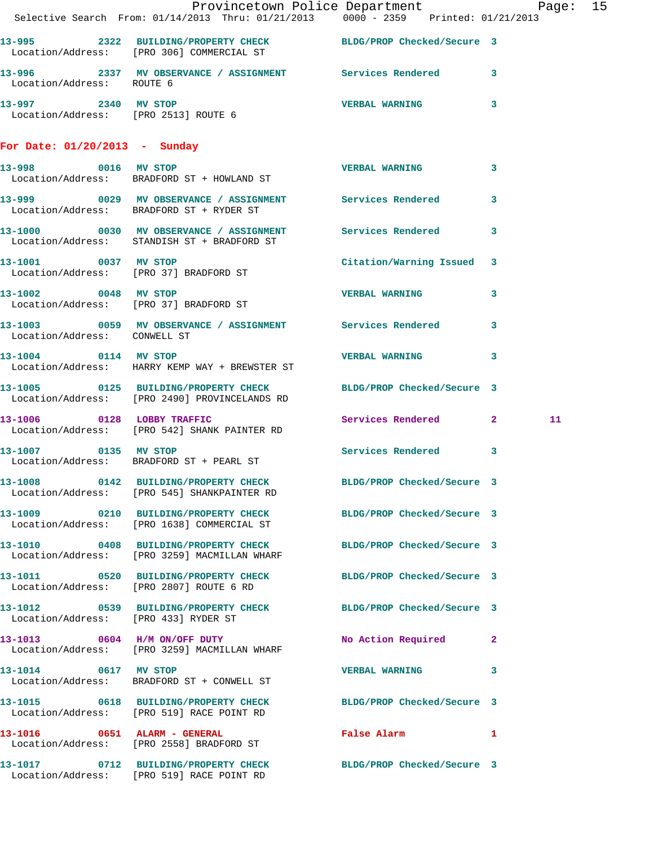|                               | Provincetown Police Department The Rage: 15                                                                      |                            |    |  |
|-------------------------------|------------------------------------------------------------------------------------------------------------------|----------------------------|----|--|
|                               | Selective Search From: 01/14/2013 Thru: 01/21/2013 0000 - 2359 Printed: 01/21/2013                               |                            |    |  |
|                               | 13-995 2322 BUILDING/PROPERTY CHECK BLDG/PROP Checked/Secure 3<br>Location/Address: [PRO 306] COMMERCIAL ST      |                            |    |  |
| Location/Address: ROUTE 6     | 13-996 2337 MV OBSERVANCE / ASSIGNMENT Services Rendered 3                                                       |                            |    |  |
|                               | 13-997 2340 MV STOP<br>Location/Address: [PRO 2513] ROUTE 6                                                      | VERBAL WARNING 3           |    |  |
| For Date: 01/20/2013 - Sunday |                                                                                                                  |                            |    |  |
|                               | 13-998 0016 MV STOP<br>Location/Address: BRADFORD ST + HOWLAND ST                                                | VERBAL WARNING 3           |    |  |
|                               | 13-999 0029 MV OBSERVANCE / ASSIGNMENT Services Rendered 3<br>Location/Address: BRADFORD ST + RYDER ST           |                            |    |  |
|                               | 13-1000 0030 MV OBSERVANCE / ASSIGNMENT Services Rendered 3<br>Location/Address: STANDISH ST + BRADFORD ST       |                            |    |  |
|                               | 13-1001 0037 MV STOP<br>Location/Address: [PRO 37] BRADFORD ST                                                   | Citation/Warning Issued 3  |    |  |
| 13-1002 0048 MV STOP          | Location/Address: [PRO 37] BRADFORD ST                                                                           | VERBAL WARNING 3           |    |  |
| Location/Address: CONWELL ST  | 13-1003 0059 MV OBSERVANCE / ASSIGNMENT Services Rendered 3                                                      |                            |    |  |
| 13-1004 0114 MV STOP          | Location/Address: HARRY KEMP WAY + BREWSTER ST                                                                   | <b>VERBAL WARNING</b> 3    |    |  |
|                               | 13-1005 0125 BUILDING/PROPERTY CHECK BLDG/PROP Checked/Secure 3<br>Location/Address: [PRO 2490] PROVINCELANDS RD |                            |    |  |
| 13-1006 0128 LOBBY TRAFFIC    | Location/Address: [PRO 542] SHANK PAINTER RD                                                                     | Services Rendered 2        | 11 |  |
|                               | 13-1007 0135 MV STOP<br>Location/Address: BRADFORD ST + PEARL ST                                                 | Services Rendered 3        |    |  |
|                               | 13-1008 0142 BUILDING/PROPERTY CHECK<br>Location/Address: [PRO 545] SHANKPAINTER RD                              | BLDG/PROP Checked/Secure 3 |    |  |
|                               | 13-1009 0210 BUILDING/PROPERTY CHECK BLDG/PROP Checked/Secure 3<br>Location/Address: [PRO 1638] COMMERCIAL ST    |                            |    |  |
|                               | 13-1010 0408 BUILDING/PROPERTY CHECK BLDG/PROP Checked/Secure 3<br>Location/Address: [PRO 3259] MACMILLAN WHARF  |                            |    |  |
|                               | 13-1011 0520 BUILDING/PROPERTY CHECK BLDG/PROP Checked/Secure 3<br>Location/Address: [PRO 2807] ROUTE 6 RD       |                            |    |  |
|                               | 13-1012 0539 BUILDING/PROPERTY CHECK BLDG/PROP Checked/Secure 3<br>Location/Address: [PRO 433] RYDER ST          |                            |    |  |
|                               | 13-1013 0604 H/M ON/OFF DUTY<br>Location/Address: [PRO 3259] MACMILLAN WHARF                                     | No Action Required 2       |    |  |
| 13-1014 0617 MV STOP          | Location/Address: BRADFORD ST + CONWELL ST                                                                       | VERBAL WARNING 3           |    |  |
|                               | 13-1015 0618 BUILDING/PROPERTY CHECK BLDG/PROP Checked/Secure 3<br>Location/Address: [PRO 519] RACE POINT RD     |                            |    |  |
|                               | 13-1016 0651 ALARM - GENERAL<br>Location/Address: [PRO 2558] BRADFORD ST                                         | False Alarm 1              |    |  |
|                               | 13-1017 0712 BUILDING/PROPERTY CHECK BLDG/PROP Checked/Secure 3<br>Location/Address: [PRO 519] RACE POINT RD     |                            |    |  |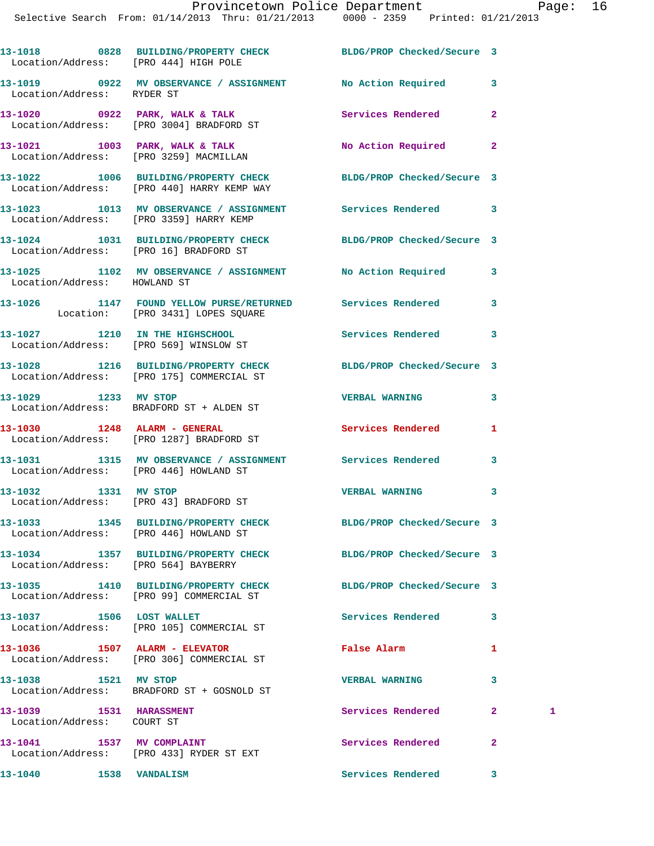**13-1018 0828 BUILDING/PROPERTY CHECK BLDG/PROP Checked/Secure 3**  Location/Address: [PRO 444] HIGH POLE **13-1019 0922 MV OBSERVANCE / ASSIGNMENT No Action Required 3**  Location/Address: RYDER ST **13-1020 0922 PARK, WALK & TALK Services Rendered 2**  Location/Address: [PRO 3004] BRADFORD ST **13-1021 1003 PARK, WALK & TALK No Action Required 2**  Location/Address: [PRO 3259] MACMILLAN **13-1022 1006 BUILDING/PROPERTY CHECK BLDG/PROP Checked/Secure 3**  Location/Address: [PRO 440] HARRY KEMP WAY **13-1023 1013 MV OBSERVANCE / ASSIGNMENT Services Rendered 3**  Location/Address: [PRO 3359] HARRY KEMP **13-1024 1031 BUILDING/PROPERTY CHECK BLDG/PROP Checked/Secure 3**  Location/Address: [PRO 16] BRADFORD ST **13-1025 1102 MV OBSERVANCE / ASSIGNMENT No Action Required 3**  Location/Address: HOWLAND ST **13-1026 1147 FOUND YELLOW PURSE/RETURNED Services Rendered 3**  Location: [PRO 3431] LOPES SQUARE **13-1027 1210 IN THE HIGHSCHOOL Services Rendered 3**  Location/Address: [PRO 569] WINSLOW ST **13-1028 1216 BUILDING/PROPERTY CHECK BLDG/PROP Checked/Secure 3**  Location/Address: [PRO 175] COMMERCIAL ST **13-1029 1233 MV STOP VERBAL WARNING 3**  Location/Address: BRADFORD ST + ALDEN ST **13-1030 1248 ALARM - GENERAL Services Rendered 1**  Location/Address: [PRO 1287] BRADFORD ST **13-1031 1315 MV OBSERVANCE / ASSIGNMENT Services Rendered 3**  Location/Address: [PRO 446] HOWLAND ST **13-1032 1331 MV STOP VERBAL WARNING 3**  Location/Address: [PRO 43] BRADFORD ST **13-1033 1345 BUILDING/PROPERTY CHECK BLDG/PROP Checked/Secure 3**  Location/Address: [PRO 446] HOWLAND ST **13-1034 1357 BUILDING/PROPERTY CHECK BLDG/PROP Checked/Secure 3**  Location/Address: [PRO 564] BAYBERRY **13-1035 1410 BUILDING/PROPERTY CHECK BLDG/PROP Checked/Secure 3**  Location/Address: [PRO 99] COMMERCIAL ST 13-1037 1506 LOST WALLET **13-1037** Services Rendered 3 Location/Address: [PRO 105] COMMERCIAL ST **13-1036 1507 ALARM - ELEVATOR False Alarm 1**  Location/Address: [PRO 306] COMMERCIAL ST **13-1038 1521 MV STOP VERBAL WARNING 3**  Location/Address: BRADFORD ST + GOSNOLD ST **13-1039 1531 HARASSMENT Services Rendered 2 1**  Location/Address: COURT ST **13-1041 1537 MV COMPLAINT Services Rendered 2**  Location/Address: [PRO 433] RYDER ST EXT

**13-1040 1538 VANDALISM Services Rendered 3**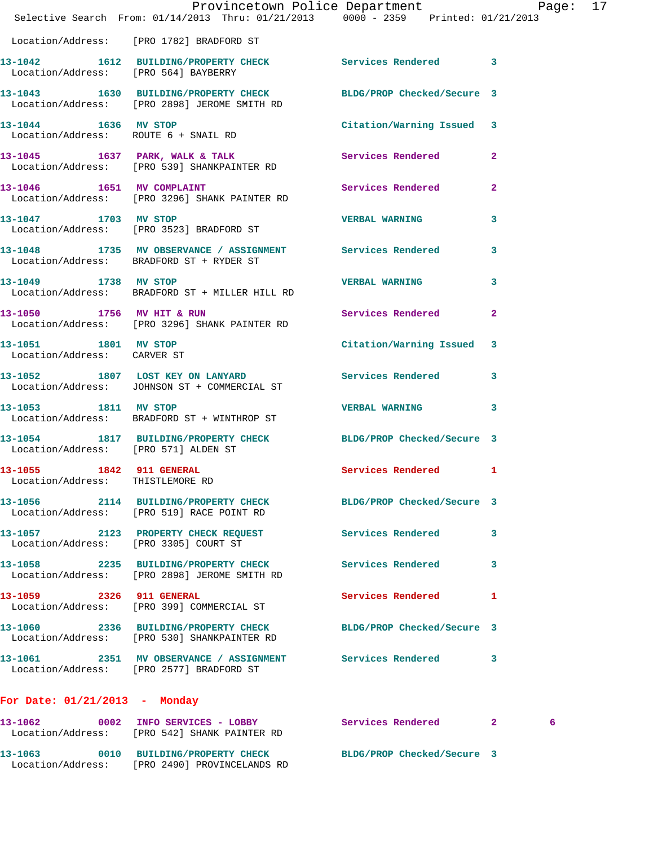|                                                              |                                                                                                                 | Provincetown Police Department Page: 17 |                |  |
|--------------------------------------------------------------|-----------------------------------------------------------------------------------------------------------------|-----------------------------------------|----------------|--|
|                                                              | Selective Search From: $01/14/2013$ Thru: $01/21/2013$ 0000 - 2359 Printed: $01/21/2013$                        |                                         |                |  |
|                                                              | Location/Address: [PRO 1782] BRADFORD ST                                                                        |                                         |                |  |
|                                                              | 13-1042 1612 BUILDING/PROPERTY CHECK Services Rendered 3<br>Location/Address: [PRO 564] BAYBERRY                |                                         |                |  |
|                                                              | 13-1043 1630 BUILDING/PROPERTY CHECK BLDG/PROP Checked/Secure 3<br>Location/Address: [PRO 2898] JEROME SMITH RD |                                         |                |  |
| 13-1044 1636 MV STOP                                         | Location/Address: ROUTE 6 + SNAIL RD                                                                            | Citation/Warning Issued 3               |                |  |
|                                                              | 13-1045 1637 PARK, WALK & TALK 5 Services Rendered<br>Location/Address: [PRO 539] SHANKPAINTER RD               |                                         | $\mathbf{2}$   |  |
| 13-1046 1651 MV COMPLAINT                                    | Location/Address: [PRO 3296] SHANK PAINTER RD                                                                   | Services Rendered                       | $\overline{2}$ |  |
|                                                              | 13-1047 1703 MV STOP<br>Location/Address: [PRO 3523] BRADFORD ST                                                | <b>VERBAL WARNING</b>                   | 3              |  |
|                                                              | 13-1048 1735 MV OBSERVANCE / ASSIGNMENT Services Rendered 3<br>Location/Address: BRADFORD ST + RYDER ST         |                                         |                |  |
| 13-1049 1738 MV STOP                                         | Location/Address: BRADFORD ST + MILLER HILL RD                                                                  | <b>VERBAL WARNING</b>                   | 3              |  |
| 13-1050 1756 MV HIT & RUN                                    | Location/Address: [PRO 3296] SHANK PAINTER RD                                                                   | <b>Services Rendered</b>                | $\mathbf{2}$   |  |
| Location/Address: CARVER ST                                  | 13-1051 1801 MV STOP                                                                                            | Citation/Warning Issued 3               |                |  |
|                                                              | 13-1052 1807 LOST KEY ON LANYARD<br>Location/Address: JOHNSON ST + COMMERCIAL ST                                | Services Rendered 3                     |                |  |
| 13-1053 1811 MV STOP                                         | Location/Address: BRADFORD ST + WINTHROP ST                                                                     | VERBAL WARNING 3                        |                |  |
| Location/Address: [PRO 571] ALDEN ST                         | 13-1054 1817 BUILDING/PROPERTY CHECK BLDG/PROP Checked/Secure 3                                                 |                                         |                |  |
| 13-1055 1842 911 GENERAL<br>Location/Address: THISTLEMORE RD |                                                                                                                 | Services Rendered 1                     |                |  |
|                                                              | 13-1056 2114 BUILDING/PROPERTY CHECK BLDG/PROP Checked/Secure 3<br>Location/Address: [PRO 519] RACE POINT RD    |                                         |                |  |
|                                                              | 13-1057 2123 PROPERTY CHECK REQUEST Services Rendered 3<br>Location/Address: [PRO 3305] COURT ST                |                                         |                |  |
|                                                              | 13-1058 2235 BUILDING/PROPERTY CHECK Services Rendered 3<br>Location/Address: [PRO 2898] JEROME SMITH RD        |                                         |                |  |
|                                                              | 13-1059 2326 911 GENERAL<br>Location/Address: [PRO 399] COMMERCIAL ST                                           | Services Rendered 1                     |                |  |
|                                                              | 13-1060 2336 BUILDING/PROPERTY CHECK BLDG/PROP Checked/Secure 3<br>Location/Address: [PRO 530] SHANKPAINTER RD  |                                         |                |  |
|                                                              | 13-1061 2351 MV OBSERVANCE / ASSIGNMENT Services Rendered 3<br>Location/Address: [PRO 2577] BRADFORD ST         |                                         |                |  |
| For Date: 01/21/2013 - Monday                                |                                                                                                                 |                                         |                |  |
|                                                              | 13-1062 0002 INFO SERVICES - LOBBY<br>Location/Address: [PRO 542] SHANK PAINTER RD                              | Services Rendered 2                     | 6              |  |
|                                                              |                                                                                                                 |                                         |                |  |

**13-1063 0010 BUILDING/PROPERTY CHECK BLDG/PROP Checked/Secure 3** 

Location/Address: [PRO 2490] PROVINCELANDS RD